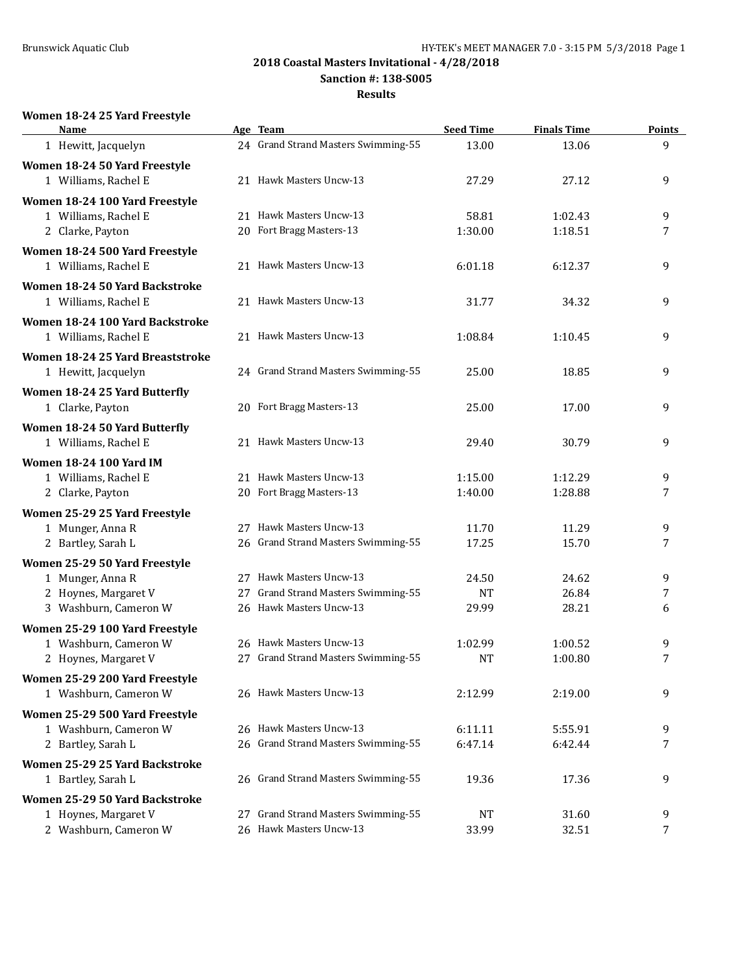**Sanction #: 138-S005**

#### **Results**

# **Women 18-24 25 Yard Freestyle**

| Name                                                    |    | Age Team                            | <b>Seed Time</b> | <b>Finals Time</b> | <b>Points</b> |
|---------------------------------------------------------|----|-------------------------------------|------------------|--------------------|---------------|
| 1 Hewitt, Jacquelyn                                     |    | 24 Grand Strand Masters Swimming-55 | 13.00            | 13.06              | 9             |
| Women 18-24 50 Yard Freestyle<br>1 Williams, Rachel E   |    | 21 Hawk Masters Uncw-13             | 27.29            | 27.12              | 9             |
|                                                         |    |                                     |                  |                    |               |
| Women 18-24 100 Yard Freestyle                          |    | 21 Hawk Masters Uncw-13             |                  |                    |               |
| 1 Williams, Rachel E<br>2 Clarke, Payton                |    | 20 Fort Bragg Masters-13            | 58.81<br>1:30.00 | 1:02.43<br>1:18.51 | 9<br>7        |
|                                                         |    |                                     |                  |                    |               |
| Women 18-24 500 Yard Freestyle<br>1 Williams, Rachel E  |    | 21 Hawk Masters Uncw-13             | 6:01.18          | 6:12.37            | 9             |
| Women 18-24 50 Yard Backstroke<br>1 Williams, Rachel E  |    | 21 Hawk Masters Uncw-13             | 31.77            | 34.32              | 9             |
|                                                         |    |                                     |                  |                    |               |
| Women 18-24 100 Yard Backstroke<br>1 Williams, Rachel E |    | 21 Hawk Masters Uncw-13             | 1:08.84          | 1:10.45            | 9             |
| Women 18-24 25 Yard Breaststroke                        |    |                                     |                  |                    |               |
| 1 Hewitt, Jacquelyn                                     |    | 24 Grand Strand Masters Swimming-55 | 25.00            | 18.85              | 9             |
| Women 18-24 25 Yard Butterfly                           |    |                                     |                  |                    |               |
| 1 Clarke, Payton                                        |    | 20 Fort Bragg Masters-13            | 25.00            | 17.00              | 9             |
| Women 18-24 50 Yard Butterfly                           |    |                                     |                  |                    |               |
| 1 Williams, Rachel E                                    |    | 21 Hawk Masters Uncw-13             | 29.40            | 30.79              | 9             |
| <b>Women 18-24 100 Yard IM</b>                          |    |                                     |                  |                    |               |
| 1 Williams, Rachel E                                    |    | 21 Hawk Masters Uncw-13             | 1:15.00          | 1:12.29            | 9             |
| 2 Clarke, Payton                                        |    | 20 Fort Bragg Masters-13            | 1:40.00          | 1:28.88            | 7             |
| Women 25-29 25 Yard Freestyle                           |    |                                     |                  |                    |               |
| 1 Munger, Anna R                                        |    | 27 Hawk Masters Uncw-13             | 11.70            | 11.29              | 9             |
| 2 Bartley, Sarah L                                      |    | 26 Grand Strand Masters Swimming-55 | 17.25            | 15.70              | 7             |
| Women 25-29 50 Yard Freestyle                           |    |                                     |                  |                    |               |
| 1 Munger, Anna R                                        |    | 27 Hawk Masters Uncw-13             | 24.50            | 24.62              | 9             |
| 2 Hoynes, Margaret V                                    | 27 | Grand Strand Masters Swimming-55    | <b>NT</b>        | 26.84              | 7             |
| 3 Washburn, Cameron W                                   |    | 26 Hawk Masters Uncw-13             | 29.99            | 28.21              | 6             |
| Women 25-29 100 Yard Freestyle                          |    |                                     |                  |                    |               |
| 1 Washburn, Cameron W                                   |    | 26 Hawk Masters Uncw-13             | 1:02.99          | 1:00.52            | 9             |
| 2 Hoynes, Margaret V                                    |    | 27 Grand Strand Masters Swimming-55 | <b>NT</b>        | 1:00.80            | 7             |
| Women 25-29 200 Yard Freestyle                          |    |                                     |                  |                    |               |
| 1 Washburn, Cameron W                                   |    | 26 Hawk Masters Uncw-13             | 2:12.99          | 2:19.00            | 9             |
| Women 25-29 500 Yard Freestyle                          |    |                                     |                  |                    |               |
| 1 Washburn, Cameron W                                   |    | 26 Hawk Masters Uncw-13             | 6:11.11          | 5:55.91            | 9             |
| 2 Bartley, Sarah L                                      |    | 26 Grand Strand Masters Swimming-55 | 6:47.14          | 6:42.44            | 7             |
| Women 25-29 25 Yard Backstroke                          |    |                                     |                  |                    |               |
| 1 Bartley, Sarah L                                      |    | 26 Grand Strand Masters Swimming-55 | 19.36            | 17.36              | 9             |
| Women 25-29 50 Yard Backstroke                          |    |                                     |                  |                    |               |
| 1 Hoynes, Margaret V                                    | 27 | Grand Strand Masters Swimming-55    | <b>NT</b>        | 31.60              | 9             |
| 2 Washburn, Cameron W                                   |    | 26 Hawk Masters Uncw-13             | 33.99            | 32.51              | 7             |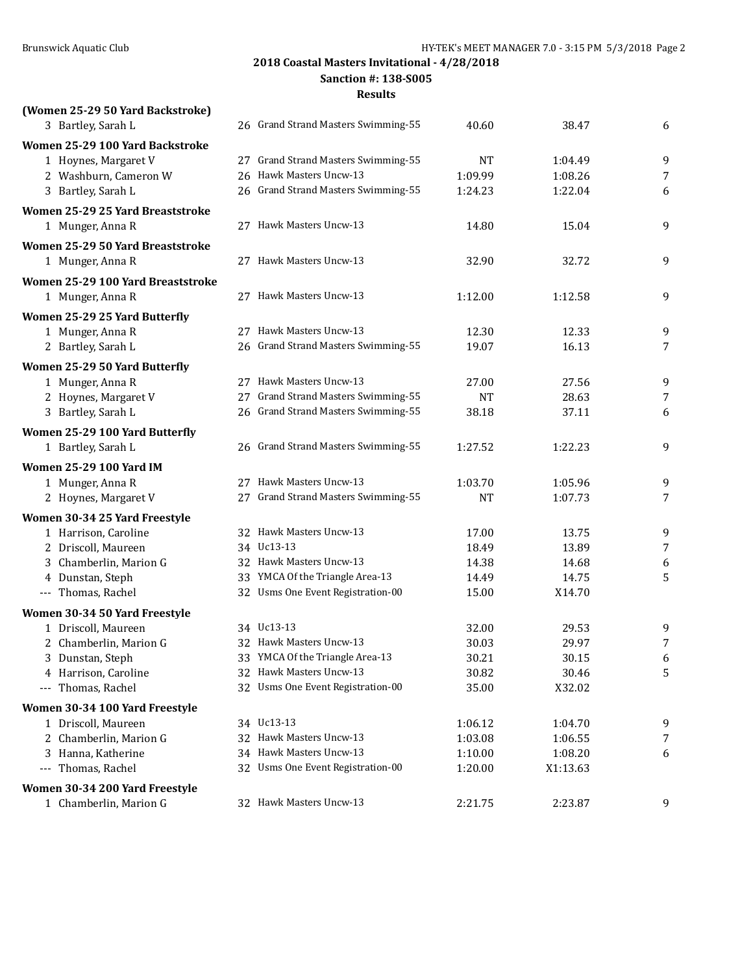**(Women 25-29 50 Yard Backstroke)**

# **2018 Coastal Masters Invitational - 4/28/2018**

**Sanction #: 138-S005**

| 3 Bartley, Sarah L                            | 26 Grand Strand Masters Swimming-55   | 40.60          | 38.47              | 6              |
|-----------------------------------------------|---------------------------------------|----------------|--------------------|----------------|
| Women 25-29 100 Yard Backstroke               |                                       |                |                    |                |
| 1 Hoynes, Margaret V                          | 27 Grand Strand Masters Swimming-55   | NT             | 1:04.49            | 9              |
| 2 Washburn, Cameron W                         | 26 Hawk Masters Uncw-13               | 1:09.99        | 1:08.26            | 7              |
| 3 Bartley, Sarah L                            | 26 Grand Strand Masters Swimming-55   | 1:24.23        | 1:22.04            | 6              |
| Women 25-29 25 Yard Breaststroke              |                                       |                |                    |                |
| 1 Munger, Anna R                              | 27 Hawk Masters Uncw-13               | 14.80          | 15.04              | 9              |
| Women 25-29 50 Yard Breaststroke              |                                       |                |                    |                |
| 1 Munger, Anna R                              | 27 Hawk Masters Uncw-13               | 32.90          | 32.72              | 9              |
| Women 25-29 100 Yard Breaststroke             |                                       |                |                    |                |
| 1 Munger, Anna R                              | 27 Hawk Masters Uncw-13               | 1:12.00        | 1:12.58            | 9              |
| Women 25-29 25 Yard Butterfly                 |                                       |                |                    |                |
| 1 Munger, Anna R                              | 27 Hawk Masters Uncw-13               | 12.30          | 12.33              | 9              |
| 2 Bartley, Sarah L                            | 26 Grand Strand Masters Swimming-55   | 19.07          | 16.13              | 7              |
| Women 25-29 50 Yard Butterfly                 |                                       |                |                    |                |
| 1 Munger, Anna R                              | 27 Hawk Masters Uncw-13               | 27.00          | 27.56              | 9              |
| 2 Hoynes, Margaret V                          | 27 Grand Strand Masters Swimming-55   | <b>NT</b>      | 28.63              | 7              |
| 3 Bartley, Sarah L                            | 26 Grand Strand Masters Swimming-55   | 38.18          | 37.11              | 6              |
| Women 25-29 100 Yard Butterfly                |                                       |                |                    |                |
| 1 Bartley, Sarah L                            | 26 Grand Strand Masters Swimming-55   | 1:27.52        | 1:22.23            | 9              |
|                                               |                                       |                |                    |                |
| <b>Women 25-29 100 Yard IM</b>                | 27 Hawk Masters Uncw-13               | 1:03.70        |                    |                |
| 1 Munger, Anna R<br>2 Hoynes, Margaret V      | 27 Grand Strand Masters Swimming-55   | <b>NT</b>      | 1:05.96<br>1:07.73 | 9<br>7         |
|                                               |                                       |                |                    |                |
| Women 30-34 25 Yard Freestyle                 |                                       |                |                    |                |
| 1 Harrison, Caroline                          | 32 Hawk Masters Uncw-13<br>34 Uc13-13 | 17.00          | 13.75              | 9              |
| 2 Driscoll, Maureen<br>3 Chamberlin, Marion G | 32 Hawk Masters Uncw-13               | 18.49<br>14.38 | 13.89<br>14.68     | $\overline{7}$ |
| 4 Dunstan, Steph                              | 33 YMCA Of the Triangle Area-13       | 14.49          | 14.75              | 6<br>5         |
| --- Thomas, Rachel                            | 32 Usms One Event Registration-00     | 15.00          | X14.70             |                |
|                                               |                                       |                |                    |                |
| Women 30-34 50 Yard Freestyle                 | 34 Uc13-13                            |                |                    |                |
| 1 Driscoll, Maureen<br>2 Chamberlin, Marion G | 32 Hawk Masters Uncw-13               | 32.00<br>30.03 | 29.53<br>29.97     | 9<br>7         |
| 3 Dunstan, Steph                              | 33 YMCA Of the Triangle Area-13       | 30.21          | 30.15              | 6              |
| 4 Harrison, Caroline                          | 32 Hawk Masters Uncw-13               | 30.82          | 30.46              | 5              |
| --- Thomas, Rachel                            | 32 Usms One Event Registration-00     | 35.00          | X32.02             |                |
| Women 30-34 100 Yard Freestyle                |                                       |                |                    |                |
| 1 Driscoll, Maureen                           | 34 Uc13-13                            | 1:06.12        | 1:04.70            | 9              |
| 2 Chamberlin, Marion G                        | 32 Hawk Masters Uncw-13               | 1:03.08        | 1:06.55            | 7              |
| 3 Hanna, Katherine                            | 34 Hawk Masters Uncw-13               | 1:10.00        | 1:08.20            | 6              |
| --- Thomas, Rachel                            | 32 Usms One Event Registration-00     | 1:20.00        | X1:13.63           |                |
| Women 30-34 200 Yard Freestyle                |                                       |                |                    |                |
| 1 Chamberlin, Marion G                        | 32 Hawk Masters Uncw-13               | 2:21.75        | 2:23.87            | 9              |
|                                               |                                       |                |                    |                |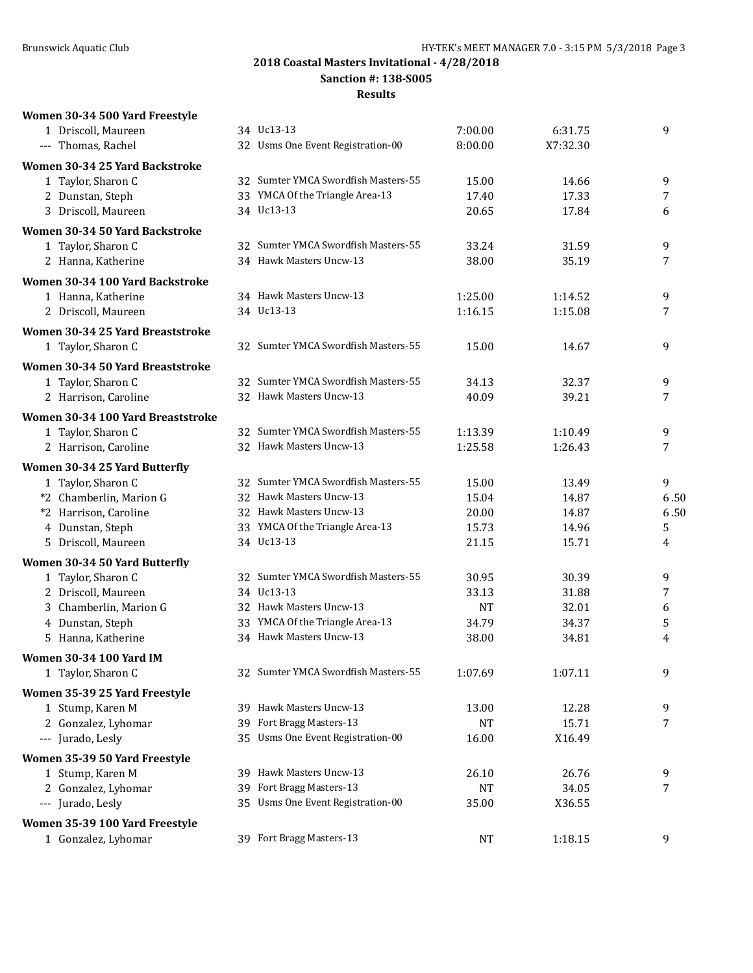**Sanction #: 138-S005**

| Women 30-34 500 Yard Freestyle    |     |                                     |           |          |                |
|-----------------------------------|-----|-------------------------------------|-----------|----------|----------------|
| 1 Driscoll, Maureen               |     | 34 Uc13-13                          | 7:00.00   | 6:31.75  | 9              |
| --- Thomas, Rachel                |     | 32 Usms One Event Registration-00   | 8:00.00   | X7:32.30 |                |
| Women 30-34 25 Yard Backstroke    |     |                                     |           |          |                |
| 1 Taylor, Sharon C                |     | 32 Sumter YMCA Swordfish Masters-55 | 15.00     | 14.66    | 9              |
| 2 Dunstan, Steph                  |     | 33 YMCA Of the Triangle Area-13     | 17.40     | 17.33    | 7              |
| 3 Driscoll, Maureen               |     | 34 Uc13-13                          | 20.65     | 17.84    | 6              |
| Women 30-34 50 Yard Backstroke    |     |                                     |           |          |                |
| 1 Taylor, Sharon C                |     | 32 Sumter YMCA Swordfish Masters-55 | 33.24     | 31.59    | 9              |
| 2 Hanna, Katherine                |     | 34 Hawk Masters Uncw-13             | 38.00     | 35.19    | 7              |
| Women 30-34 100 Yard Backstroke   |     |                                     |           |          |                |
| 1 Hanna, Katherine                |     | 34 Hawk Masters Uncw-13             | 1:25.00   | 1:14.52  | 9              |
| 2 Driscoll, Maureen               |     | 34 Uc13-13                          | 1:16.15   | 1:15.08  | 7              |
|                                   |     |                                     |           |          |                |
| Women 30-34 25 Yard Breaststroke  |     | 32 Sumter YMCA Swordfish Masters-55 | 15.00     | 14.67    | 9              |
| 1 Taylor, Sharon C                |     |                                     |           |          |                |
| Women 30-34 50 Yard Breaststroke  |     |                                     |           |          |                |
| 1 Taylor, Sharon C                |     | 32 Sumter YMCA Swordfish Masters-55 | 34.13     | 32.37    | 9              |
| 2 Harrison, Caroline              |     | 32 Hawk Masters Uncw-13             | 40.09     | 39.21    | 7              |
| Women 30-34 100 Yard Breaststroke |     |                                     |           |          |                |
| 1 Taylor, Sharon C                |     | 32 Sumter YMCA Swordfish Masters-55 | 1:13.39   | 1:10.49  | 9              |
| 2 Harrison, Caroline              |     | 32 Hawk Masters Uncw-13             | 1:25.58   | 1:26.43  | 7              |
| Women 30-34 25 Yard Butterfly     |     |                                     |           |          |                |
| 1 Taylor, Sharon C                |     | 32 Sumter YMCA Swordfish Masters-55 | 15.00     | 13.49    | 9              |
| *2 Chamberlin, Marion G           |     | 32 Hawk Masters Uncw-13             | 15.04     | 14.87    | 6.50           |
| *2 Harrison, Caroline             |     | 32 Hawk Masters Uncw-13             | 20.00     | 14.87    | 6.50           |
| 4 Dunstan, Steph                  |     | 33 YMCA Of the Triangle Area-13     | 15.73     | 14.96    | 5              |
| 5 Driscoll, Maureen               |     | 34 Uc13-13                          | 21.15     | 15.71    | 4              |
| Women 30-34 50 Yard Butterfly     |     |                                     |           |          |                |
| 1 Taylor, Sharon C                |     | 32 Sumter YMCA Swordfish Masters-55 | 30.95     | 30.39    | 9              |
| 2 Driscoll, Maureen               |     | 34 Uc13-13                          | 33.13     | 31.88    | $\overline{7}$ |
| 3 Chamberlin, Marion G            |     | 32 Hawk Masters Uncw-13             | <b>NT</b> | 32.01    | 6              |
| 4 Dunstan, Steph                  |     | 33 YMCA Of the Triangle Area-13     | 34.79     | 34.37    | 5              |
| 5 Hanna, Katherine                |     | 34 Hawk Masters Uncw-13             | 38.00     | 34.81    | 4              |
| Women 30-34 100 Yard IM           |     |                                     |           |          |                |
| 1 Taylor, Sharon C                |     | 32 Sumter YMCA Swordfish Masters-55 | 1:07.69   | 1:07.11  | 9              |
| Women 35-39 25 Yard Freestyle     |     |                                     |           |          |                |
| 1 Stump, Karen M                  |     | 39 Hawk Masters Uncw-13             | 13.00     | 12.28    | 9              |
| 2 Gonzalez, Lyhomar               | 39. | Fort Bragg Masters-13               | NT        | 15.71    | 7              |
| --- Jurado, Lesly                 | 35  | Usms One Event Registration-00      | 16.00     | X16.49   |                |
|                                   |     |                                     |           |          |                |
| Women 35-39 50 Yard Freestyle     |     |                                     |           |          |                |
| 1 Stump, Karen M                  |     | 39 Hawk Masters Uncw-13             | 26.10     | 26.76    | 9              |
| 2 Gonzalez, Lyhomar               | 39  | Fort Bragg Masters-13               | <b>NT</b> | 34.05    | 7              |
| --- Jurado, Lesly                 | 35. | Usms One Event Registration-00      | 35.00     | X36.55   |                |
| Women 35-39 100 Yard Freestyle    |     |                                     |           |          |                |
| 1 Gonzalez, Lyhomar               |     | 39 Fort Bragg Masters-13            | NT        | 1:18.15  | 9              |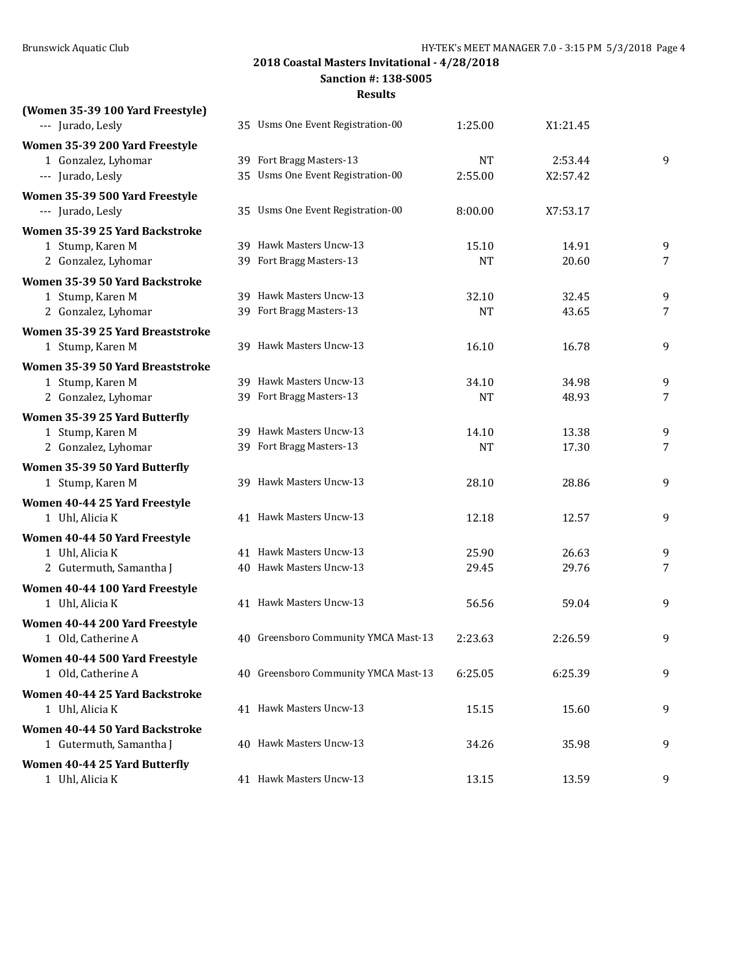**Sanction #: 138-S005**

| (Women 35-39 100 Yard Freestyle)<br>--- Jurado, Lesly                       | 35 Usms One Event Registration-00                             |                      |                     |        |
|-----------------------------------------------------------------------------|---------------------------------------------------------------|----------------------|---------------------|--------|
|                                                                             |                                                               | 1:25.00              | X1:21.45            |        |
| Women 35-39 200 Yard Freestyle<br>1 Gonzalez, Lyhomar<br>--- Jurado, Lesly  | 39 Fort Bragg Masters-13<br>35 Usms One Event Registration-00 | <b>NT</b><br>2:55.00 | 2:53.44<br>X2:57.42 | 9      |
| Women 35-39 500 Yard Freestyle<br>--- Jurado, Lesly                         | 35 Usms One Event Registration-00                             | 8:00.00              | X7:53.17            |        |
| Women 35-39 25 Yard Backstroke<br>1 Stump, Karen M<br>2 Gonzalez, Lyhomar   | 39 Hawk Masters Uncw-13<br>39 Fort Bragg Masters-13           | 15.10<br><b>NT</b>   | 14.91<br>20.60      | 9<br>7 |
| Women 35-39 50 Yard Backstroke<br>1 Stump, Karen M<br>2 Gonzalez, Lyhomar   | 39 Hawk Masters Uncw-13<br>39 Fort Bragg Masters-13           | 32.10<br><b>NT</b>   | 32.45<br>43.65      | 9<br>7 |
| Women 35-39 25 Yard Breaststroke<br>1 Stump, Karen M                        | 39 Hawk Masters Uncw-13                                       | 16.10                | 16.78               | 9      |
| Women 35-39 50 Yard Breaststroke<br>1 Stump, Karen M<br>2 Gonzalez, Lyhomar | 39 Hawk Masters Uncw-13<br>39 Fort Bragg Masters-13           | 34.10<br><b>NT</b>   | 34.98<br>48.93      | 9<br>7 |
| Women 35-39 25 Yard Butterfly<br>1 Stump, Karen M<br>2 Gonzalez, Lyhomar    | 39 Hawk Masters Uncw-13<br>39 Fort Bragg Masters-13           | 14.10<br><b>NT</b>   | 13.38<br>17.30      | 9<br>7 |
| Women 35-39 50 Yard Butterfly<br>1 Stump, Karen M                           | 39 Hawk Masters Uncw-13                                       | 28.10                | 28.86               | 9      |
| Women 40-44 25 Yard Freestyle<br>1 Uhl, Alicia K                            | 41 Hawk Masters Uncw-13                                       | 12.18                | 12.57               | 9      |
| Women 40-44 50 Yard Freestyle<br>1 Uhl, Alicia K<br>2 Gutermuth, Samantha J | 41 Hawk Masters Uncw-13<br>40 Hawk Masters Uncw-13            | 25.90<br>29.45       | 26.63<br>29.76      | 9<br>7 |
| Women 40-44 100 Yard Freestyle<br>1 Uhl, Alicia K                           | 41 Hawk Masters Uncw-13                                       | 56.56                | 59.04               | 9      |
| Women 40-44 200 Yard Freestyle<br>1 Old, Catherine A                        | 40 Greensboro Community YMCA Mast-13                          | 2:23.63              | 2:26.59             | 9      |
| Women 40-44 500 Yard Freestyle<br>1 Old, Catherine A                        | 40 Greensboro Community YMCA Mast-13                          | 6:25.05              | 6:25.39             | 9      |
| Women 40-44 25 Yard Backstroke<br>1 Uhl, Alicia K                           | 41 Hawk Masters Uncw-13                                       | 15.15                | 15.60               | 9      |
| Women 40-44 50 Yard Backstroke<br>1 Gutermuth, Samantha J                   | 40 Hawk Masters Uncw-13                                       | 34.26                | 35.98               | 9      |
| Women 40-44 25 Yard Butterfly<br>1 Uhl, Alicia K                            | 41 Hawk Masters Uncw-13                                       | 13.15                | 13.59               | 9      |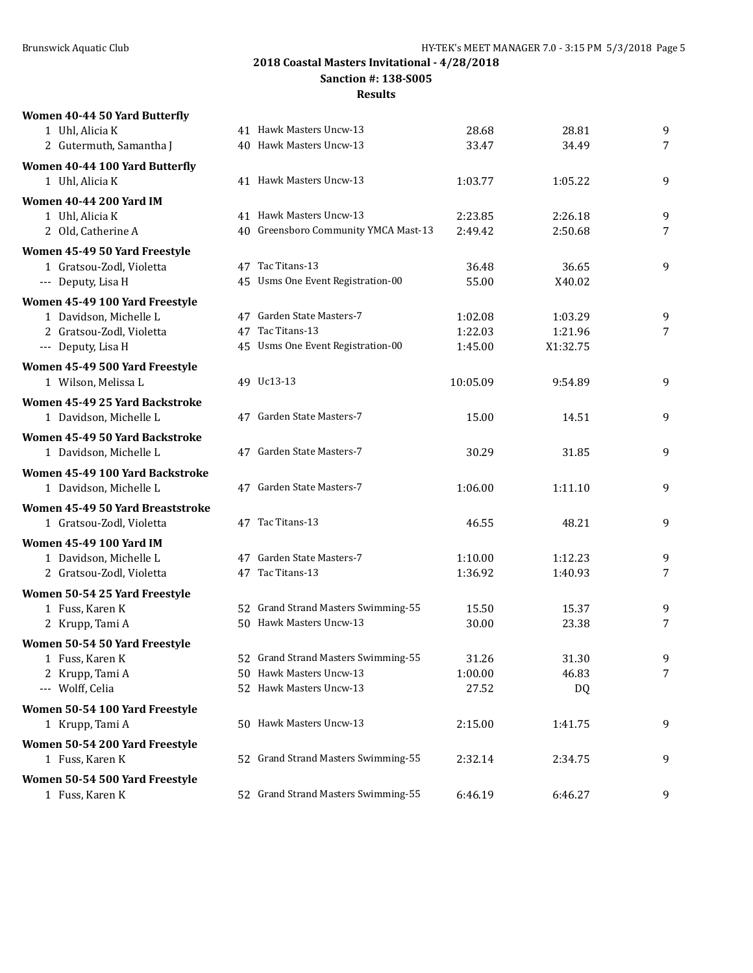**Sanction #: 138-S005**

| Women 40-44 50 Yard Butterfly    |                                      |          |          |                |
|----------------------------------|--------------------------------------|----------|----------|----------------|
| 1 Uhl, Alicia K                  | 41 Hawk Masters Uncw-13              | 28.68    | 28.81    | 9              |
| 2 Gutermuth, Samantha J          | 40 Hawk Masters Uncw-13              | 33.47    | 34.49    | $\overline{7}$ |
| Women 40-44 100 Yard Butterfly   |                                      |          |          |                |
| 1 Uhl, Alicia K                  | 41 Hawk Masters Uncw-13              | 1:03.77  | 1:05.22  | 9              |
| <b>Women 40-44 200 Yard IM</b>   |                                      |          |          |                |
| 1 Uhl, Alicia K                  | 41 Hawk Masters Uncw-13              | 2:23.85  | 2:26.18  | 9              |
| 2 Old, Catherine A               | 40 Greensboro Community YMCA Mast-13 | 2:49.42  | 2:50.68  | 7              |
| Women 45-49 50 Yard Freestyle    |                                      |          |          |                |
| 1 Gratsou-Zodl, Violetta         | 47 Tac Titans-13                     | 36.48    | 36.65    | 9              |
| --- Deputy, Lisa H               | 45 Usms One Event Registration-00    | 55.00    | X40.02   |                |
| Women 45-49 100 Yard Freestyle   |                                      |          |          |                |
| 1 Davidson, Michelle L           | 47 Garden State Masters-7            | 1:02.08  | 1:03.29  | 9              |
| 2 Gratsou-Zodl, Violetta         | 47 Tac Titans-13                     | 1:22.03  | 1:21.96  | $\overline{7}$ |
| --- Deputy, Lisa H               | 45 Usms One Event Registration-00    | 1:45.00  | X1:32.75 |                |
| Women 45-49 500 Yard Freestyle   |                                      |          |          |                |
| 1 Wilson, Melissa L              | 49 Uc13-13                           | 10:05.09 | 9:54.89  | 9              |
| Women 45-49 25 Yard Backstroke   |                                      |          |          |                |
| 1 Davidson, Michelle L           | 47 Garden State Masters-7            | 15.00    | 14.51    | 9              |
| Women 45-49 50 Yard Backstroke   |                                      |          |          |                |
| 1 Davidson, Michelle L           | 47 Garden State Masters-7            | 30.29    | 31.85    | 9              |
| Women 45-49 100 Yard Backstroke  |                                      |          |          |                |
| 1 Davidson, Michelle L           | 47 Garden State Masters-7            | 1:06.00  | 1:11.10  | 9              |
| Women 45-49 50 Yard Breaststroke |                                      |          |          |                |
| 1 Gratsou-Zodl, Violetta         | 47 Tac Titans-13                     | 46.55    | 48.21    | 9              |
| <b>Women 45-49 100 Yard IM</b>   |                                      |          |          |                |
| 1 Davidson, Michelle L           | 47 Garden State Masters-7            | 1:10.00  | 1:12.23  | 9              |
| 2 Gratsou-Zodl, Violetta         | 47 Tac Titans-13                     | 1:36.92  | 1:40.93  | 7              |
| Women 50-54 25 Yard Freestyle    |                                      |          |          |                |
| 1 Fuss, Karen K                  | 52 Grand Strand Masters Swimming-55  | 15.50    | 15.37    | 9              |
| 2 Krupp, Tami A                  | 50 Hawk Masters Uncw-13              | 30.00    | 23.38    | 7              |
| Women 50-54 50 Yard Freestyle    |                                      |          |          |                |
| 1 Fuss, Karen K                  | 52 Grand Strand Masters Swimming-55  | 31.26    | 31.30    | 9              |
| 2 Krupp, Tami A                  | 50 Hawk Masters Uncw-13              | 1:00.00  | 46.83    | 7              |
| --- Wolff, Celia                 | 52 Hawk Masters Uncw-13              | 27.52    | DQ       |                |
| Women 50-54 100 Yard Freestyle   |                                      |          |          |                |
| 1 Krupp, Tami A                  | 50 Hawk Masters Uncw-13              | 2:15.00  | 1:41.75  | 9              |
| Women 50-54 200 Yard Freestyle   |                                      |          |          |                |
| 1 Fuss, Karen K                  | 52 Grand Strand Masters Swimming-55  | 2:32.14  | 2:34.75  | 9              |
| Women 50-54 500 Yard Freestyle   |                                      |          |          |                |
| 1 Fuss, Karen K                  | 52 Grand Strand Masters Swimming-55  | 6:46.19  | 6:46.27  | 9              |
|                                  |                                      |          |          |                |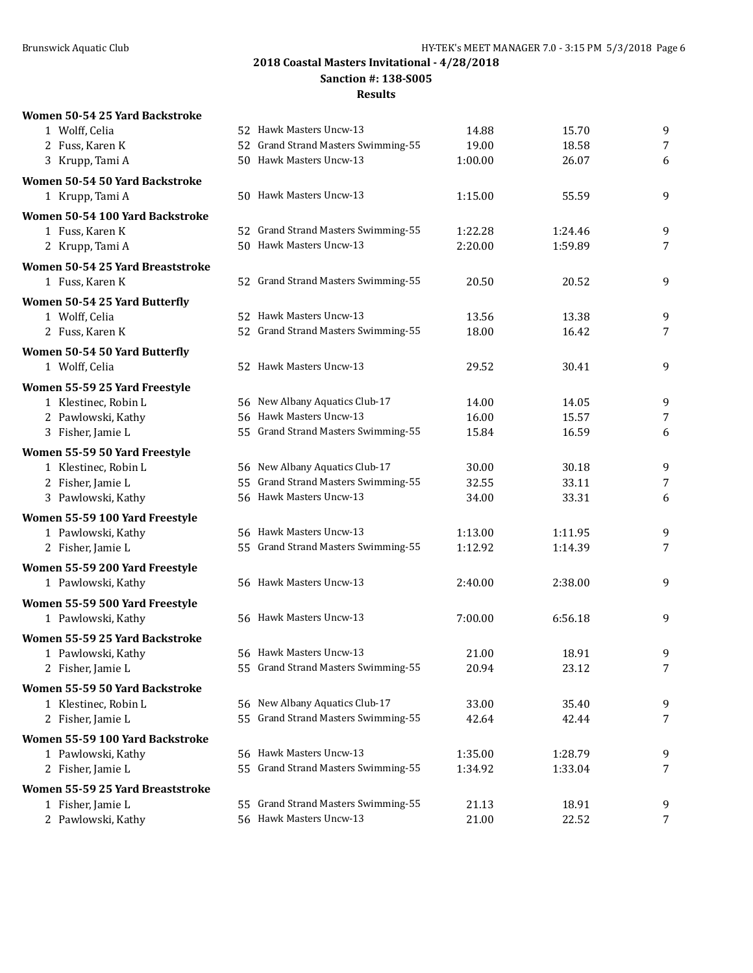**Sanction #: 138-S005**

|  |  |  |  | Women 50-54 25 Yard Backstroke |
|--|--|--|--|--------------------------------|
|--|--|--|--|--------------------------------|

| 1 Wolff, Celia                   | 52 Hawk Masters Uncw-13             | 14.88   | 15.70   | $\boldsymbol{9}$ |
|----------------------------------|-------------------------------------|---------|---------|------------------|
| 2 Fuss, Karen K                  | 52 Grand Strand Masters Swimming-55 | 19.00   | 18.58   | $\overline{7}$   |
| 3 Krupp, Tami A                  | 50 Hawk Masters Uncw-13             | 1:00.00 | 26.07   | 6                |
| Women 50-54 50 Yard Backstroke   |                                     |         |         |                  |
| 1 Krupp, Tami A                  | 50 Hawk Masters Uncw-13             | 1:15.00 | 55.59   | 9                |
| Women 50-54 100 Yard Backstroke  |                                     |         |         |                  |
| 1 Fuss, Karen K                  | 52 Grand Strand Masters Swimming-55 | 1:22.28 | 1:24.46 | 9                |
| 2 Krupp, Tami A                  | 50 Hawk Masters Uncw-13             | 2:20.00 | 1:59.89 | 7                |
| Women 50-54 25 Yard Breaststroke |                                     |         |         |                  |
| 1 Fuss, Karen K                  | 52 Grand Strand Masters Swimming-55 | 20.50   | 20.52   | 9                |
|                                  |                                     |         |         |                  |
| Women 50-54 25 Yard Butterfly    |                                     |         |         |                  |
| 1 Wolff, Celia                   | 52 Hawk Masters Uncw-13             | 13.56   | 13.38   | 9                |
| 2 Fuss, Karen K                  | 52 Grand Strand Masters Swimming-55 | 18.00   | 16.42   | 7                |
| Women 50-54 50 Yard Butterfly    |                                     |         |         |                  |
| 1 Wolff, Celia                   | 52 Hawk Masters Uncw-13             | 29.52   | 30.41   | $\boldsymbol{9}$ |
| Women 55-59 25 Yard Freestyle    |                                     |         |         |                  |
| 1 Klestinec, Robin L             | 56 New Albany Aquatics Club-17      | 14.00   | 14.05   | 9                |
| 2 Pawlowski, Kathy               | 56 Hawk Masters Uncw-13             | 16.00   | 15.57   | 7                |
| 3 Fisher, Jamie L                | 55 Grand Strand Masters Swimming-55 | 15.84   | 16.59   | 6                |
| Women 55-59 50 Yard Freestyle    |                                     |         |         |                  |
| 1 Klestinec, Robin L             | 56 New Albany Aquatics Club-17      | 30.00   | 30.18   | 9                |
| 2 Fisher, Jamie L                | 55 Grand Strand Masters Swimming-55 | 32.55   | 33.11   | 7                |
| 3 Pawlowski, Kathy               | 56 Hawk Masters Uncw-13             | 34.00   | 33.31   | 6                |
| Women 55-59 100 Yard Freestyle   |                                     |         |         |                  |
| 1 Pawlowski, Kathy               | 56 Hawk Masters Uncw-13             | 1:13.00 | 1:11.95 | 9                |
| 2 Fisher, Jamie L                | 55 Grand Strand Masters Swimming-55 | 1:12.92 | 1:14.39 | 7                |
| Women 55-59 200 Yard Freestyle   |                                     |         |         |                  |
| 1 Pawlowski, Kathy               | 56 Hawk Masters Uncw-13             | 2:40.00 | 2:38.00 | 9                |
| Women 55-59 500 Yard Freestyle   |                                     |         |         |                  |
| 1 Pawlowski, Kathy               | 56 Hawk Masters Uncw-13             | 7:00.00 | 6:56.18 | $\boldsymbol{9}$ |
|                                  |                                     |         |         |                  |
| Women 55-59 25 Yard Backstroke   |                                     |         |         |                  |
| 1 Pawlowski, Kathy               | 56 Hawk Masters Uncw-13             | 21.00   | 18.91   | 9                |
| 2 Fisher, Jamie L                | 55 Grand Strand Masters Swimming-55 | 20.94   | 23.12   | 7                |
| Women 55-59 50 Yard Backstroke   |                                     |         |         |                  |
| 1 Klestinec, Robin L             | 56 New Albany Aquatics Club-17      | 33.00   | 35.40   | 9                |
| 2 Fisher, Jamie L                | 55 Grand Strand Masters Swimming-55 | 42.64   | 42.44   | 7                |
| Women 55-59 100 Yard Backstroke  |                                     |         |         |                  |
| 1 Pawlowski, Kathy               | 56 Hawk Masters Uncw-13             | 1:35.00 | 1:28.79 | 9                |
| 2 Fisher, Jamie L                | 55 Grand Strand Masters Swimming-55 | 1:34.92 | 1:33.04 | 7                |
| Women 55-59 25 Yard Breaststroke |                                     |         |         |                  |
| 1 Fisher, Jamie L                | 55 Grand Strand Masters Swimming-55 | 21.13   | 18.91   | 9                |
| 2 Pawlowski, Kathy               | 56 Hawk Masters Uncw-13             | 21.00   | 22.52   | 7                |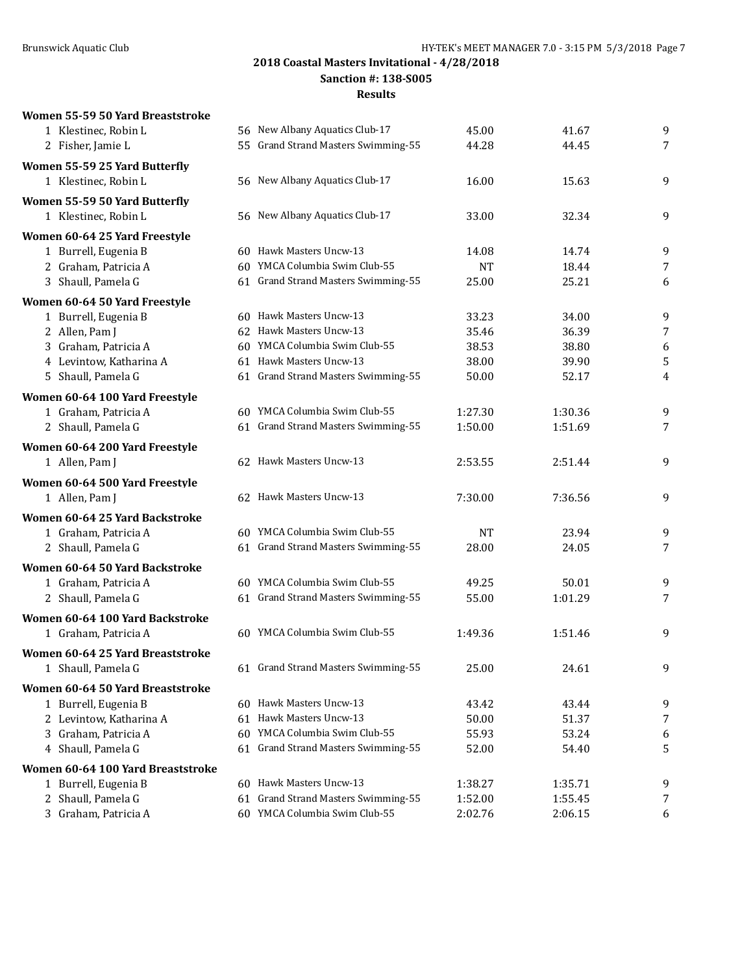**Women 55-59 50 Yard Breaststroke**

**2018 Coastal Masters Invitational - 4/28/2018**

**Sanction #: 138-S005**

**Results**

# 1 Klestinec, Robin L 56 New Albany Aquatics Club-17 45.00 41.67 9 2 Fisher, Jamie L 55 Grand Strand Masters Swimming-55 44.28 44.45 44.45 7 **Women 55-59 25 Yard Butterfly** 1 Klestinec, Robin L 56 New Albany Aquatics Club-17 16.00 15.63 9 **Women 55-59 50 Yard Butterfly** 1 Klestinec, Robin L 56 New Albany Aquatics Club-17 33.00 32.34 9 **Women 60-64 25 Yard Freestyle** 1 Burrell, Eugenia B 60 Hawk Masters Uncw-13 14.08 14.74 9 2 Graham, Patricia A 60 YMCA Columbia Swim Club-55 NT 18.44 7 3 Shaull, Pamela G 61 Grand Strand Masters Swimming-55 25.00 25.21 6 **Women 60-64 50 Yard Freestyle** 1 Burrell, Eugenia B 60 Hawk Masters Uncw-13 33.23 34.00 9 2 Allen, Pam J 62 Hawk Masters Uncw-13 35.46 36.39 7 3 Graham, Patricia A 60 YMCA Columbia Swim Club-55 38.53 38.80 38.80 6 4 Levintow, Katharina A 61 Hawk Masters Uncw-13 38.00 39.90 5 5 Shaull, Pamela G 61 Grand Strand Masters Swimming-55 50.00 52.17 50.00 **Women 60-64 100 Yard Freestyle** 1 Graham, Patricia A 60 YMCA Columbia Swim Club-55 1:27.30 1:30.36 9 2 Shaull, Pamela G 61 Grand Strand Masters Swimming-55 1:50.00 1:51.69 7 **Women 60-64 200 Yard Freestyle** 1 Allen, Pam J 62 Hawk Masters Uncw-13 2:53.55 2:51.44 9 **Women 60-64 500 Yard Freestyle** 1 Allen, Pam J 62 Hawk Masters Uncw-13 7:30.00 7:36.56 9 **Women 60-64 25 Yard Backstroke** 1 Graham, Patricia A 60 YMCA Columbia Swim Club-55 NT 23.94 99 2 Shaull, Pamela G 61 Grand Strand Masters Swimming-55 28.00 24.05 24.05 28.00 **Women 60-64 50 Yard Backstroke** 1 Graham, Patricia A 60 YMCA Columbia Swim Club-55 49.25 50.01 9 2 Shaull, Pamela G 61 Grand Strand Masters Swimming-55 55.00 1:01.29 7 **Women 60-64 100 Yard Backstroke** 1 Graham, Patricia A 60 YMCA Columbia Swim Club-55 1:49.36 1:51.46 9 **Women 60-64 25 Yard Breaststroke** 1 Shaull, Pamela G 61 Grand Strand Masters Swimming-55 25.00 24.61 9 **Women 60-64 50 Yard Breaststroke** 1 Burrell, Eugenia B 60 Hawk Masters Uncw-13 43.42 43.44 43.44 9 2 Levintow, Katharina A 61 Hawk Masters Uncw-13 50.00 51.37 7 3 Graham, Patricia A 60 YMCA Columbia Swim Club-55 55.93 53.24 53.24 6 4 Shaull, Pamela G 61 Grand Strand Masters Swimming-55 52.00 54.40 5 **Women 60-64 100 Yard Breaststroke** 1 Burrell, Eugenia B 60 Hawk Masters Uncw-13 1:38.27 1:35.71 9 2 Shaull, Pamela G 61 Grand Strand Masters Swimming-55 1:52.00 1:55.45 7 3 Graham, Patricia A 60 YMCA Columbia Swim Club-55 2:02.76 2:06.15 6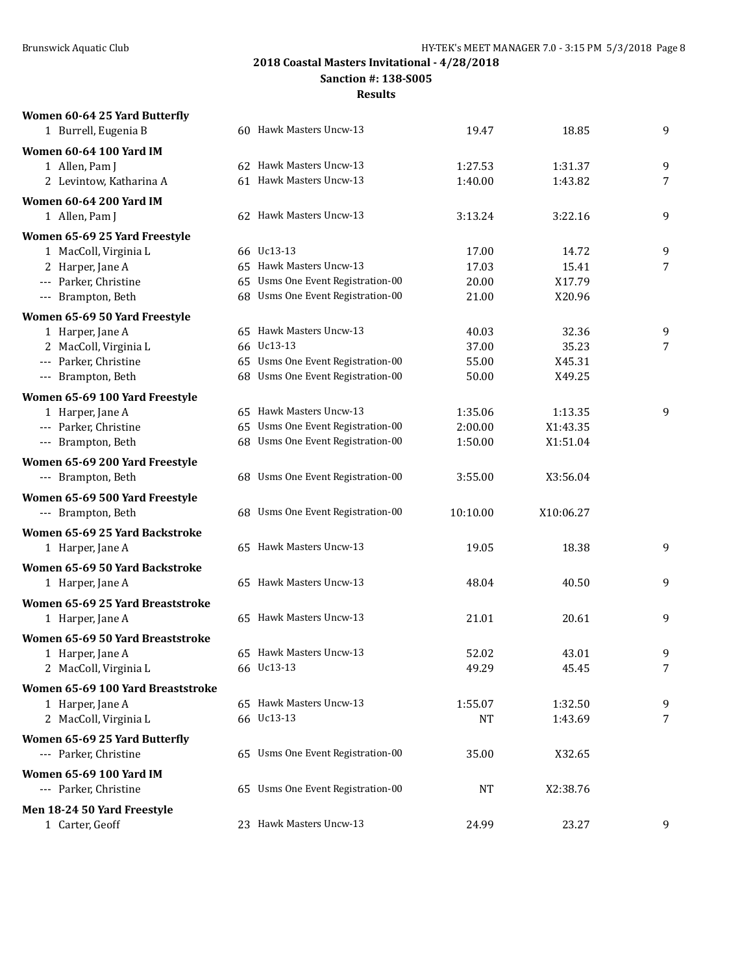**Women 60-64 25 Yard Butterfly**

**2018 Coastal Masters Invitational - 4/28/2018**

**Sanction #: 138-S005**

| 1 Burrell, Eugenia B                               | 60 Hawk Masters Uncw-13           | 19.47    | 18.85     | 9              |
|----------------------------------------------------|-----------------------------------|----------|-----------|----------------|
| Women 60-64 100 Yard IM                            |                                   |          |           |                |
| 1 Allen, Pam J                                     | 62 Hawk Masters Uncw-13           | 1:27.53  | 1:31.37   | 9              |
| 2 Levintow, Katharina A                            | 61 Hawk Masters Uncw-13           | 1:40.00  | 1:43.82   | $\overline{7}$ |
| <b>Women 60-64 200 Yard IM</b>                     |                                   |          |           |                |
| 1 Allen, Pam J                                     | 62 Hawk Masters Uncw-13           | 3:13.24  | 3:22.16   | 9              |
| Women 65-69 25 Yard Freestyle                      |                                   |          |           |                |
| 1 MacColl, Virginia L                              | 66 Uc13-13                        | 17.00    | 14.72     | 9              |
| 2 Harper, Jane A                                   | 65 Hawk Masters Uncw-13           | 17.03    | 15.41     | 7              |
| --- Parker, Christine                              | 65 Usms One Event Registration-00 | 20.00    | X17.79    |                |
| --- Brampton, Beth                                 | 68 Usms One Event Registration-00 | 21.00    | X20.96    |                |
| Women 65-69 50 Yard Freestyle                      |                                   |          |           |                |
| 1 Harper, Jane A                                   | 65 Hawk Masters Uncw-13           | 40.03    | 32.36     | 9              |
| 2 MacColl, Virginia L                              | 66 Uc13-13                        | 37.00    | 35.23     | 7              |
| --- Parker, Christine                              | 65 Usms One Event Registration-00 | 55.00    | X45.31    |                |
| --- Brampton, Beth                                 | 68 Usms One Event Registration-00 | 50.00    | X49.25    |                |
| Women 65-69 100 Yard Freestyle                     |                                   |          |           |                |
| 1 Harper, Jane A                                   | 65 Hawk Masters Uncw-13           | 1:35.06  | 1:13.35   | 9              |
| --- Parker, Christine                              | 65 Usms One Event Registration-00 | 2:00.00  | X1:43.35  |                |
| --- Brampton, Beth                                 | 68 Usms One Event Registration-00 | 1:50.00  | X1:51.04  |                |
| Women 65-69 200 Yard Freestyle                     |                                   |          |           |                |
| --- Brampton, Beth                                 | 68 Usms One Event Registration-00 | 3:55.00  | X3:56.04  |                |
| Women 65-69 500 Yard Freestyle                     |                                   |          |           |                |
| --- Brampton, Beth                                 | 68 Usms One Event Registration-00 | 10:10.00 | X10:06.27 |                |
| Women 65-69 25 Yard Backstroke                     |                                   |          |           |                |
| 1 Harper, Jane A                                   | 65 Hawk Masters Uncw-13           | 19.05    | 18.38     | 9              |
|                                                    |                                   |          |           |                |
| Women 65-69 50 Yard Backstroke<br>1 Harper, Jane A | 65 Hawk Masters Uncw-13           | 48.04    | 40.50     | 9              |
|                                                    |                                   |          |           |                |
| Women 65-69 25 Yard Breaststroke                   |                                   |          |           |                |
| 1 Harper, Jane A                                   | 65 Hawk Masters Uncw-13           | 21.01    | 20.61     | 9              |
| Women 65-69 50 Yard Breaststroke                   |                                   |          |           |                |
| 1 Harper, Jane A                                   | 65 Hawk Masters Uncw-13           | 52.02    | 43.01     | 9              |
| 2 MacColl, Virginia L                              | 66 Uc13-13                        | 49.29    | 45.45     | 7              |
| Women 65-69 100 Yard Breaststroke                  |                                   |          |           |                |
| 1 Harper, Jane A                                   | 65 Hawk Masters Uncw-13           | 1:55.07  | 1:32.50   | 9              |
| 2 MacColl, Virginia L                              | 66 Uc13-13                        | NT       | 1:43.69   | 7              |
| Women 65-69 25 Yard Butterfly                      |                                   |          |           |                |
| --- Parker, Christine                              | 65 Usms One Event Registration-00 | 35.00    | X32.65    |                |
| <b>Women 65-69 100 Yard IM</b>                     |                                   |          |           |                |
| --- Parker, Christine                              | 65 Usms One Event Registration-00 | NT       | X2:38.76  |                |
| Men 18-24 50 Yard Freestyle                        |                                   |          |           |                |
| 1 Carter, Geoff                                    | 23 Hawk Masters Uncw-13           | 24.99    | 23.27     | 9              |
|                                                    |                                   |          |           |                |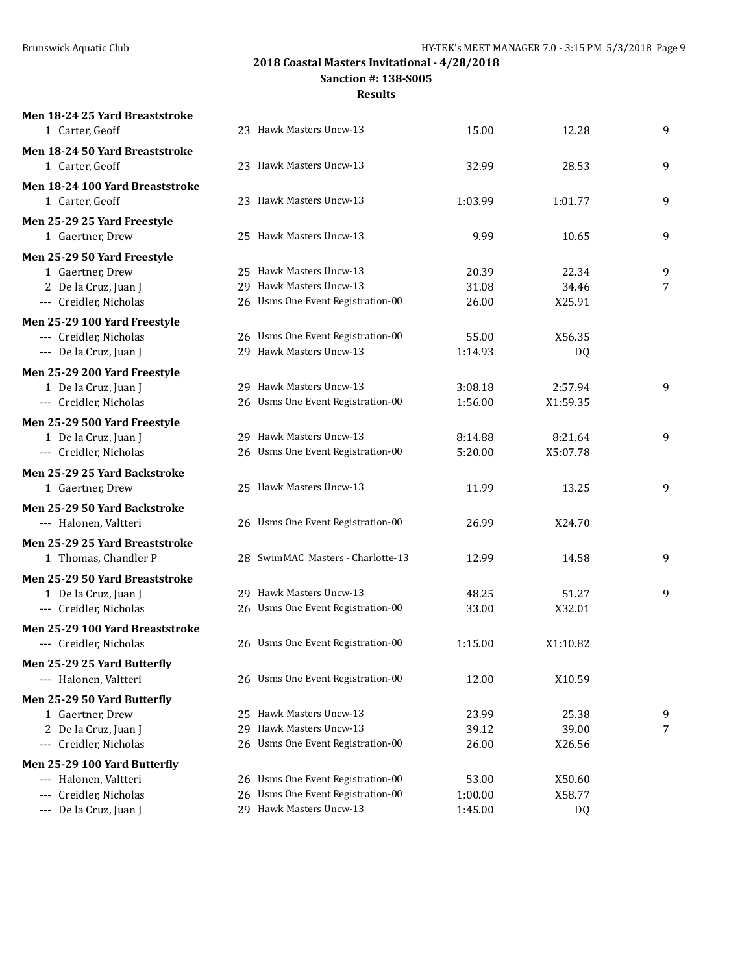**Men 18-24 25 Yard Breaststroke**

**2018 Coastal Masters Invitational - 4/28/2018**

**Sanction #: 138-S005**

| 1 Carter, Geoff                 | 23 Hawk Masters Uncw-13           | 15.00   | 12.28     | 9              |
|---------------------------------|-----------------------------------|---------|-----------|----------------|
| Men 18-24 50 Yard Breaststroke  |                                   |         |           |                |
| 1 Carter, Geoff                 | 23 Hawk Masters Uncw-13           | 32.99   | 28.53     | 9              |
| Men 18-24 100 Yard Breaststroke |                                   |         |           |                |
| 1 Carter, Geoff                 | 23 Hawk Masters Uncw-13           | 1:03.99 | 1:01.77   | 9              |
| Men 25-29 25 Yard Freestyle     |                                   |         |           |                |
| 1 Gaertner, Drew                | 25 Hawk Masters Uncw-13           | 9.99    | 10.65     | 9              |
| Men 25-29 50 Yard Freestyle     |                                   |         |           |                |
| 1 Gaertner, Drew                | 25 Hawk Masters Uncw-13           | 20.39   | 22.34     | 9              |
| 2 De la Cruz, Juan J            | 29 Hawk Masters Uncw-13           | 31.08   | 34.46     | $\overline{7}$ |
| --- Creidler, Nicholas          | 26 Usms One Event Registration-00 | 26.00   | X25.91    |                |
| Men 25-29 100 Yard Freestyle    |                                   |         |           |                |
| --- Creidler, Nicholas          | 26 Usms One Event Registration-00 | 55.00   | X56.35    |                |
| --- De la Cruz, Juan J          | 29 Hawk Masters Uncw-13           | 1:14.93 | <b>DQ</b> |                |
| Men 25-29 200 Yard Freestyle    |                                   |         |           |                |
| 1 De la Cruz, Juan J            | 29 Hawk Masters Uncw-13           | 3:08.18 | 2:57.94   | 9              |
| --- Creidler, Nicholas          | 26 Usms One Event Registration-00 | 1:56.00 | X1:59.35  |                |
| Men 25-29 500 Yard Freestyle    |                                   |         |           |                |
| 1 De la Cruz, Juan J            | 29 Hawk Masters Uncw-13           | 8:14.88 | 8:21.64   | 9              |
| --- Creidler, Nicholas          | 26 Usms One Event Registration-00 | 5:20.00 | X5:07.78  |                |
|                                 |                                   |         |           |                |
| Men 25-29 25 Yard Backstroke    | 25 Hawk Masters Uncw-13           |         |           | 9              |
| 1 Gaertner, Drew                |                                   | 11.99   | 13.25     |                |
| Men 25-29 50 Yard Backstroke    |                                   |         |           |                |
| --- Halonen, Valtteri           | 26 Usms One Event Registration-00 | 26.99   | X24.70    |                |
| Men 25-29 25 Yard Breaststroke  |                                   |         |           |                |
| 1 Thomas, Chandler P            | 28 SwimMAC Masters - Charlotte-13 | 12.99   | 14.58     | 9              |
| Men 25-29 50 Yard Breaststroke  |                                   |         |           |                |
| 1 De la Cruz, Juan J            | 29 Hawk Masters Uncw-13           | 48.25   | 51.27     | 9              |
| --- Creidler, Nicholas          | 26 Usms One Event Registration-00 | 33.00   | X32.01    |                |
| Men 25-29 100 Yard Breaststroke |                                   |         |           |                |
| --- Creidler, Nicholas          | 26 Usms One Event Registration-00 | 1:15.00 | X1:10.82  |                |
| Men 25-29 25 Yard Butterfly     |                                   |         |           |                |
| --- Halonen, Valtteri           | 26 Usms One Event Registration-00 | 12.00   | X10.59    |                |
| Men 25-29 50 Yard Butterfly     |                                   |         |           |                |
| 1 Gaertner, Drew                | 25 Hawk Masters Uncw-13           | 23.99   | 25.38     | 9              |
| 2 De la Cruz, Juan J            | 29 Hawk Masters Uncw-13           | 39.12   | 39.00     | 7              |
| --- Creidler, Nicholas          | 26 Usms One Event Registration-00 | 26.00   | X26.56    |                |
| Men 25-29 100 Yard Butterfly    |                                   |         |           |                |
| --- Halonen, Valtteri           | 26 Usms One Event Registration-00 | 53.00   | X50.60    |                |
| Creidler, Nicholas<br>---       | 26 Usms One Event Registration-00 | 1:00.00 | X58.77    |                |
| --- De la Cruz, Juan J          | 29 Hawk Masters Uncw-13           | 1:45.00 | DQ        |                |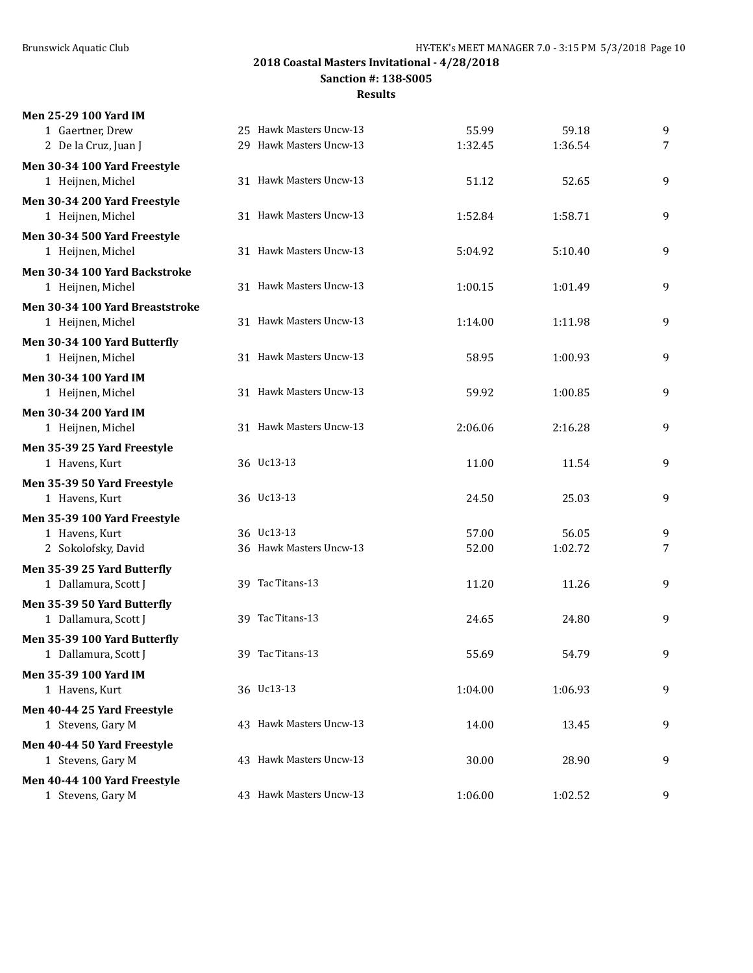**Sanction #: 138-S005**

| Men 25-29 100 Yard IM           |                         |         |         |   |
|---------------------------------|-------------------------|---------|---------|---|
| 1 Gaertner, Drew                | 25 Hawk Masters Uncw-13 | 55.99   | 59.18   | 9 |
| 2 De la Cruz, Juan J            | 29 Hawk Masters Uncw-13 | 1:32.45 | 1:36.54 | 7 |
| Men 30-34 100 Yard Freestyle    |                         |         |         |   |
| 1 Heijnen, Michel               | 31 Hawk Masters Uncw-13 | 51.12   | 52.65   | 9 |
| Men 30-34 200 Yard Freestyle    |                         |         |         |   |
| 1 Heijnen, Michel               | 31 Hawk Masters Uncw-13 | 1:52.84 | 1:58.71 | 9 |
| Men 30-34 500 Yard Freestyle    |                         |         |         |   |
| 1 Heijnen, Michel               | 31 Hawk Masters Uncw-13 | 5:04.92 | 5:10.40 | 9 |
| Men 30-34 100 Yard Backstroke   |                         |         |         |   |
| 1 Heijnen, Michel               | 31 Hawk Masters Uncw-13 | 1:00.15 | 1:01.49 | 9 |
| Men 30-34 100 Yard Breaststroke |                         |         |         |   |
| 1 Heijnen, Michel               | 31 Hawk Masters Uncw-13 | 1:14.00 | 1:11.98 | 9 |
| Men 30-34 100 Yard Butterfly    |                         |         |         |   |
| 1 Heijnen, Michel               | 31 Hawk Masters Uncw-13 | 58.95   | 1:00.93 | 9 |
| Men 30-34 100 Yard IM           |                         |         |         |   |
| 1 Heijnen, Michel               | 31 Hawk Masters Uncw-13 | 59.92   | 1:00.85 | 9 |
| <b>Men 30-34 200 Yard IM</b>    |                         |         |         |   |
| 1 Heijnen, Michel               | 31 Hawk Masters Uncw-13 | 2:06.06 | 2:16.28 | 9 |
| Men 35-39 25 Yard Freestyle     |                         |         |         |   |
| 1 Havens, Kurt                  | 36 Uc13-13              | 11.00   | 11.54   | 9 |
| Men 35-39 50 Yard Freestyle     |                         |         |         |   |
| 1 Havens, Kurt                  | 36 Uc13-13              | 24.50   | 25.03   | 9 |
| Men 35-39 100 Yard Freestyle    |                         |         |         |   |
| 1 Havens, Kurt                  | 36 Uc13-13              | 57.00   | 56.05   | 9 |
| 2 Sokolofsky, David             | 36 Hawk Masters Uncw-13 | 52.00   | 1:02.72 | 7 |
| Men 35-39 25 Yard Butterfly     |                         |         |         |   |
| 1 Dallamura, Scott J            | 39 Tac Titans-13        | 11.20   | 11.26   | 9 |
| Men 35-39 50 Yard Butterfly     |                         |         |         |   |
| 1 Dallamura, Scott J            | 39 Tac Titans-13        | 24.65   | 24.80   | 9 |
| Men 35-39 100 Yard Butterfly    |                         |         |         |   |
| 1 Dallamura, Scott J            | 39 Tac Titans-13        | 55.69   | 54.79   | 9 |
| <b>Men 35-39 100 Yard IM</b>    |                         |         |         |   |
| 1 Havens, Kurt                  | 36 Uc13-13              | 1:04.00 | 1:06.93 | 9 |
| Men 40-44 25 Yard Freestyle     |                         |         |         |   |
| 1 Stevens, Gary M               | 43 Hawk Masters Uncw-13 | 14.00   | 13.45   | 9 |
| Men 40-44 50 Yard Freestyle     |                         |         |         |   |
| 1 Stevens, Gary M               | 43 Hawk Masters Uncw-13 | 30.00   | 28.90   | 9 |
| Men 40-44 100 Yard Freestyle    |                         |         |         |   |
| 1 Stevens, Gary M               | 43 Hawk Masters Uncw-13 | 1:06.00 | 1:02.52 | 9 |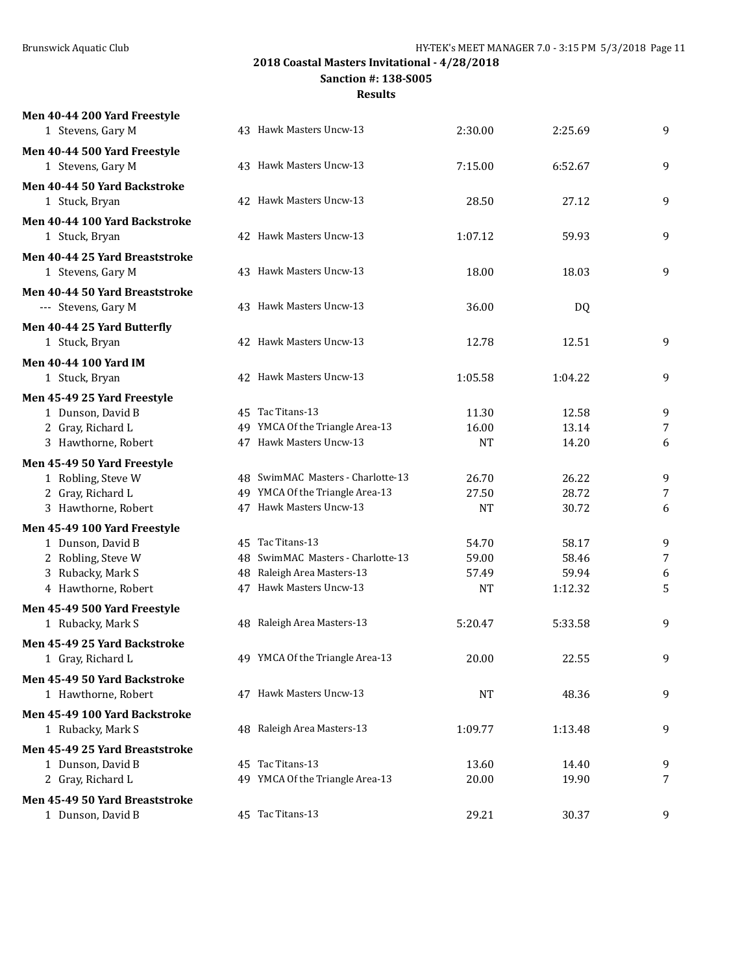**Men 40-44 200 Yard Freestyle**

**2018 Coastal Masters Invitational - 4/28/2018**

**Sanction #: 138-S005**

| 1 Stevens, Gary M              | 43 Hawk Masters Uncw-13           | 2:30.00   | 2:25.69 | 9 |
|--------------------------------|-----------------------------------|-----------|---------|---|
| Men 40-44 500 Yard Freestyle   |                                   |           |         |   |
| 1 Stevens, Gary M              | 43 Hawk Masters Uncw-13           | 7:15.00   | 6:52.67 | 9 |
| Men 40-44 50 Yard Backstroke   |                                   |           |         |   |
| 1 Stuck, Bryan                 | 42 Hawk Masters Uncw-13           | 28.50     | 27.12   | 9 |
| Men 40-44 100 Yard Backstroke  |                                   |           |         |   |
| 1 Stuck, Bryan                 | 42 Hawk Masters Uncw-13           | 1:07.12   | 59.93   | 9 |
| Men 40-44 25 Yard Breaststroke |                                   |           |         |   |
| 1 Stevens, Gary M              | 43 Hawk Masters Uncw-13           | 18.00     | 18.03   | 9 |
| Men 40-44 50 Yard Breaststroke |                                   |           |         |   |
| --- Stevens, Gary M            | 43 Hawk Masters Uncw-13           | 36.00     | DQ      |   |
| Men 40-44 25 Yard Butterfly    |                                   |           |         |   |
| 1 Stuck, Bryan                 | 42 Hawk Masters Uncw-13           | 12.78     | 12.51   | 9 |
| <b>Men 40-44 100 Yard IM</b>   |                                   |           |         |   |
| 1 Stuck, Bryan                 | 42 Hawk Masters Uncw-13           | 1:05.58   | 1:04.22 | 9 |
| Men 45-49 25 Yard Freestyle    |                                   |           |         |   |
| 1 Dunson, David B              | 45 Tac Titans-13                  | 11.30     | 12.58   | 9 |
| 2 Gray, Richard L              | 49 YMCA Of the Triangle Area-13   | 16.00     | 13.14   | 7 |
| 3 Hawthorne, Robert            | 47 Hawk Masters Uncw-13           | <b>NT</b> | 14.20   | 6 |
| Men 45-49 50 Yard Freestyle    |                                   |           |         |   |
| 1 Robling, Steve W             | 48 SwimMAC Masters - Charlotte-13 | 26.70     | 26.22   | 9 |
| 2 Gray, Richard L              | 49 YMCA Of the Triangle Area-13   | 27.50     | 28.72   | 7 |
| 3 Hawthorne, Robert            | 47 Hawk Masters Uncw-13           | <b>NT</b> | 30.72   | 6 |
| Men 45-49 100 Yard Freestyle   |                                   |           |         |   |
| 1 Dunson, David B              | 45 Tac Titans-13                  | 54.70     | 58.17   | 9 |
| 2 Robling, Steve W             | 48 SwimMAC Masters - Charlotte-13 | 59.00     | 58.46   | 7 |
| 3 Rubacky, Mark S              | 48 Raleigh Area Masters-13        | 57.49     | 59.94   | 6 |
| 4 Hawthorne, Robert            | 47 Hawk Masters Uncw-13           | <b>NT</b> | 1:12.32 | 5 |
| Men 45-49 500 Yard Freestyle   |                                   |           |         |   |
| 1 Rubacky, Mark S              | 48 Raleigh Area Masters-13        | 5:20.47   | 5:33.58 | 9 |
| Men 45-49 25 Yard Backstroke   |                                   |           |         |   |
| 1 Gray, Richard L              | 49 YMCA Of the Triangle Area-13   | 20.00     | 22.55   | 9 |
| Men 45-49 50 Yard Backstroke   |                                   |           |         |   |
| 1 Hawthorne, Robert            | 47 Hawk Masters Uncw-13           | NT        | 48.36   | 9 |
| Men 45-49 100 Yard Backstroke  |                                   |           |         |   |
| 1 Rubacky, Mark S              | 48 Raleigh Area Masters-13        | 1:09.77   | 1:13.48 | 9 |
| Men 45-49 25 Yard Breaststroke |                                   |           |         |   |
| 1 Dunson, David B              | 45 Tac Titans-13                  | 13.60     | 14.40   | 9 |
| 2 Gray, Richard L              | 49 YMCA Of the Triangle Area-13   | 20.00     | 19.90   | 7 |
| Men 45-49 50 Yard Breaststroke |                                   |           |         |   |
| 1 Dunson, David B              | 45 Tac Titans-13                  | 29.21     | 30.37   | 9 |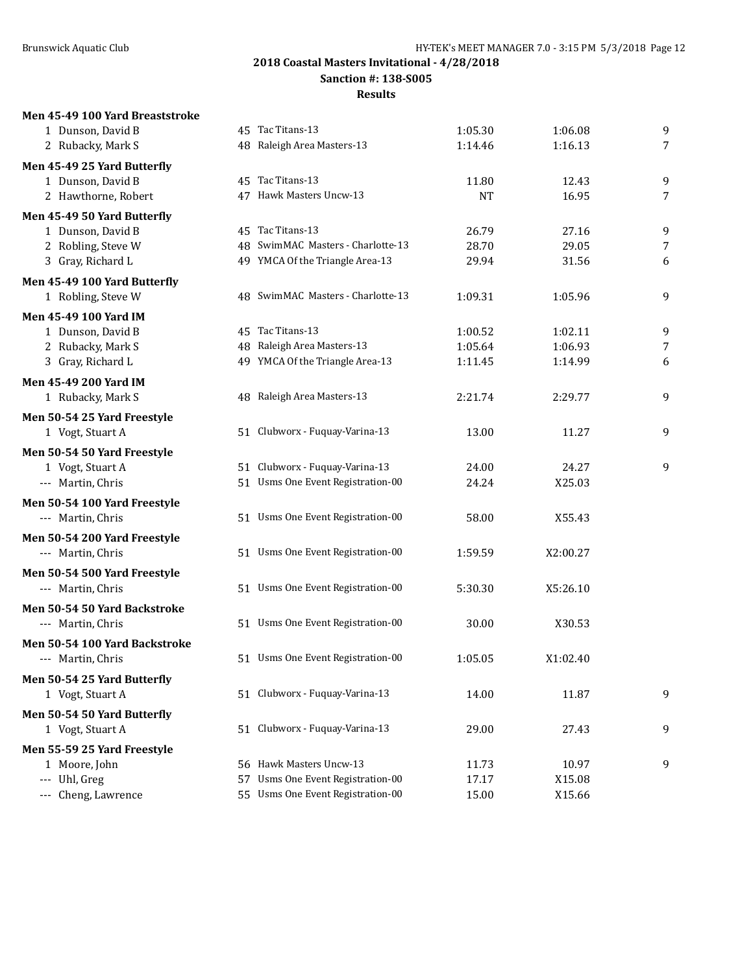**Sanction #: 138-S005**

#### **Results**

# **Men 45-49 100 Yard Breaststroke**

| 1 Dunson, David B             |    | 45 Tac Titans-13                  | 1:05.30   | 1:06.08  | $\boldsymbol{9}$ |
|-------------------------------|----|-----------------------------------|-----------|----------|------------------|
| 2 Rubacky, Mark S             |    | 48 Raleigh Area Masters-13        | 1:14.46   | 1:16.13  | $\overline{7}$   |
| Men 45-49 25 Yard Butterfly   |    |                                   |           |          |                  |
| 1 Dunson, David B             |    | 45 Tac Titans-13                  | 11.80     | 12.43    | 9                |
| 2 Hawthorne, Robert           |    | 47 Hawk Masters Uncw-13           | <b>NT</b> | 16.95    | 7                |
| Men 45-49 50 Yard Butterfly   |    |                                   |           |          |                  |
| 1 Dunson, David B             |    | 45 Tac Titans-13                  | 26.79     | 27.16    | 9                |
| 2 Robling, Steve W            |    | 48 SwimMAC Masters - Charlotte-13 | 28.70     | 29.05    | $\overline{7}$   |
| 3 Gray, Richard L             |    | 49 YMCA Of the Triangle Area-13   | 29.94     | 31.56    | 6                |
| Men 45-49 100 Yard Butterfly  |    |                                   |           |          |                  |
| 1 Robling, Steve W            |    | 48 SwimMAC Masters - Charlotte-13 | 1:09.31   | 1:05.96  | 9                |
| <b>Men 45-49 100 Yard IM</b>  |    |                                   |           |          |                  |
| 1 Dunson, David B             |    | 45 Tac Titans-13                  | 1:00.52   | 1:02.11  | 9                |
| 2 Rubacky, Mark S             |    | 48 Raleigh Area Masters-13        | 1:05.64   | 1:06.93  | 7                |
| 3 Gray, Richard L             |    | 49 YMCA Of the Triangle Area-13   | 1:11.45   | 1:14.99  | 6                |
| Men 45-49 200 Yard IM         |    |                                   |           |          |                  |
| 1 Rubacky, Mark S             |    | 48 Raleigh Area Masters-13        | 2:21.74   | 2:29.77  | $\boldsymbol{9}$ |
| Men 50-54 25 Yard Freestyle   |    |                                   |           |          |                  |
| 1 Vogt, Stuart A              |    | 51 Clubworx - Fuquay-Varina-13    | 13.00     | 11.27    | $\boldsymbol{9}$ |
| Men 50-54 50 Yard Freestyle   |    |                                   |           |          |                  |
| 1 Vogt, Stuart A              |    | 51 Clubworx - Fuquay-Varina-13    | 24.00     | 24.27    | 9                |
| --- Martin, Chris             |    | 51 Usms One Event Registration-00 | 24.24     | X25.03   |                  |
| Men 50-54 100 Yard Freestyle  |    |                                   |           |          |                  |
| --- Martin, Chris             |    | 51 Usms One Event Registration-00 | 58.00     | X55.43   |                  |
| Men 50-54 200 Yard Freestyle  |    |                                   |           |          |                  |
| --- Martin, Chris             |    | 51 Usms One Event Registration-00 | 1:59.59   | X2:00.27 |                  |
| Men 50-54 500 Yard Freestyle  |    |                                   |           |          |                  |
| --- Martin, Chris             |    | 51 Usms One Event Registration-00 | 5:30.30   | X5:26.10 |                  |
| Men 50-54 50 Yard Backstroke  |    |                                   |           |          |                  |
| --- Martin, Chris             |    | 51 Usms One Event Registration-00 | 30.00     | X30.53   |                  |
| Men 50-54 100 Yard Backstroke |    |                                   |           |          |                  |
| --- Martin, Chris             |    | 51 Usms One Event Registration-00 | 1:05.05   | X1:02.40 |                  |
| Men 50-54 25 Yard Butterfly   |    |                                   |           |          |                  |
| 1 Vogt, Stuart A              |    | 51 Clubworx - Fuquay-Varina-13    | 14.00     | 11.87    | 9                |
| Men 50-54 50 Yard Butterfly   |    |                                   |           |          |                  |
| 1 Vogt, Stuart A              |    | 51 Clubworx - Fuquay-Varina-13    | 29.00     | 27.43    | 9                |
| Men 55-59 25 Yard Freestyle   |    |                                   |           |          |                  |
| 1 Moore, John                 |    | 56 Hawk Masters Uncw-13           | 11.73     | 10.97    | 9                |
| --- Uhl, Greg                 | 57 | Usms One Event Registration-00    | 17.17     | X15.08   |                  |
| --- Cheng, Lawrence           |    | 55 Usms One Event Registration-00 | 15.00     | X15.66   |                  |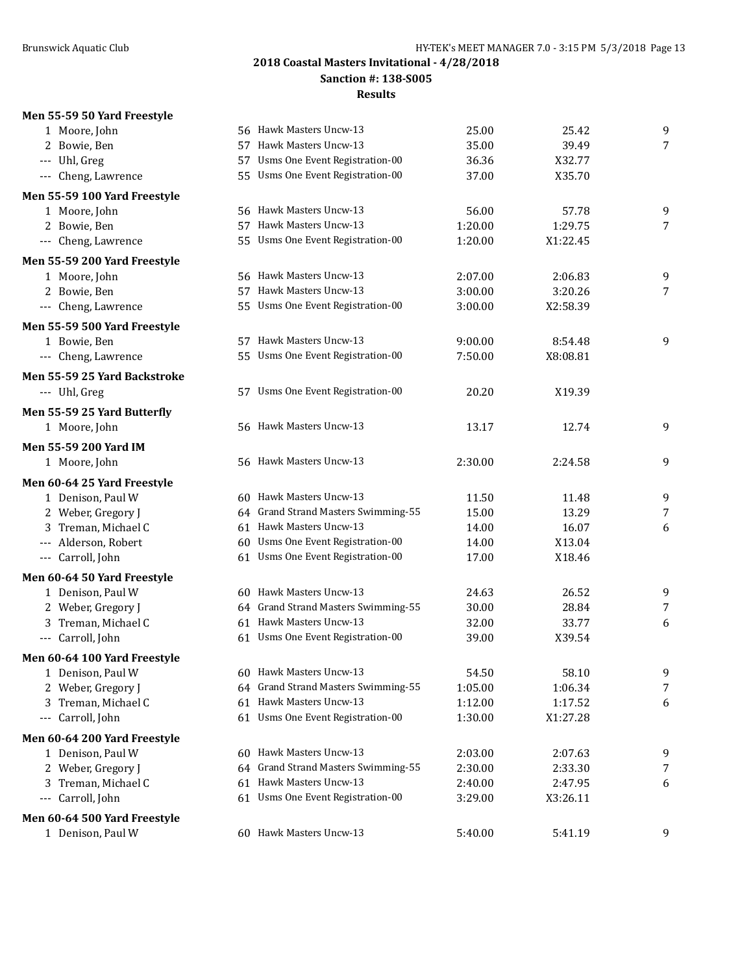#### **Sanction #: 138-S005**

### **Results**

# **Men 55-59 50 Yard Freestyle**

| 1 Moore, John                       |     | 56 Hawk Masters Uncw-13             | 25.00   | 25.42    | 9               |
|-------------------------------------|-----|-------------------------------------|---------|----------|-----------------|
| 2 Bowie, Ben                        | 57  | Hawk Masters Uncw-13                | 35.00   | 39.49    | $\overline{7}$  |
| --- Uhl, Greg                       | 57  | Usms One Event Registration-00      | 36.36   | X32.77   |                 |
| --- Cheng, Lawrence                 |     | 55 Usms One Event Registration-00   | 37.00   | X35.70   |                 |
| Men 55-59 100 Yard Freestyle        |     |                                     |         |          |                 |
| 1 Moore, John                       |     | 56 Hawk Masters Uncw-13             | 56.00   | 57.78    | 9               |
| 2 Bowie, Ben                        |     | 57 Hawk Masters Uncw-13             | 1:20.00 | 1:29.75  | $\overline{7}$  |
| --- Cheng, Lawrence                 | 55. | Usms One Event Registration-00      | 1:20.00 | X1:22.45 |                 |
| Men 55-59 200 Yard Freestyle        |     |                                     |         |          |                 |
| 1 Moore, John                       |     | 56 Hawk Masters Uncw-13             | 2:07.00 | 2:06.83  | 9               |
| 2 Bowie, Ben                        |     | 57 Hawk Masters Uncw-13             | 3:00.00 | 3:20.26  | $7\overline{ }$ |
| --- Cheng, Lawrence                 |     | 55 Usms One Event Registration-00   | 3:00.00 | X2:58.39 |                 |
| Men 55-59 500 Yard Freestyle        |     |                                     |         |          |                 |
| 1 Bowie, Ben                        |     | 57 Hawk Masters Uncw-13             | 9:00.00 | 8:54.48  | 9               |
| --- Cheng, Lawrence                 | 55  | Usms One Event Registration-00      | 7:50.00 | X8:08.81 |                 |
| <b>Men 55-59 25 Yard Backstroke</b> |     |                                     |         |          |                 |
| --- Uhl, Greg                       |     | 57 Usms One Event Registration-00   | 20.20   | X19.39   |                 |
| Men 55-59 25 Yard Butterfly         |     |                                     |         |          |                 |
| 1 Moore, John                       |     | 56 Hawk Masters Uncw-13             | 13.17   | 12.74    | 9               |
| Men 55-59 200 Yard IM               |     |                                     |         |          |                 |
| 1 Moore, John                       |     | 56 Hawk Masters Uncw-13             | 2:30.00 | 2:24.58  | 9               |
| Men 60-64 25 Yard Freestyle         |     |                                     |         |          |                 |
| 1 Denison, Paul W                   |     | 60 Hawk Masters Uncw-13             | 11.50   | 11.48    | 9               |
| 2 Weber, Gregory J                  |     | 64 Grand Strand Masters Swimming-55 | 15.00   | 13.29    | 7               |
| 3 Treman, Michael C                 |     | 61 Hawk Masters Uncw-13             | 14.00   | 16.07    | 6               |
| --- Alderson, Robert                |     | 60 Usms One Event Registration-00   | 14.00   | X13.04   |                 |
| --- Carroll, John                   |     | 61 Usms One Event Registration-00   | 17.00   | X18.46   |                 |
| Men 60-64 50 Yard Freestyle         |     |                                     |         |          |                 |
| 1 Denison, Paul W                   |     | 60 Hawk Masters Uncw-13             | 24.63   | 26.52    | 9               |
| 2 Weber, Gregory J                  |     | 64 Grand Strand Masters Swimming-55 | 30.00   | 28.84    | 7               |
| 3 Treman, Michael C                 |     | 61 Hawk Masters Uncw-13             | 32.00   | 33.77    | 6               |
| --- Carroll, John                   |     | 61 Usms One Event Registration-00   | 39.00   | X39.54   |                 |
| Men 60-64 100 Yard Freestyle        |     |                                     |         |          |                 |
| 1 Denison, Paul W                   |     | 60 Hawk Masters Uncw-13             | 54.50   | 58.10    | 9               |
| 2 Weber, Gregory J                  |     | 64 Grand Strand Masters Swimming-55 | 1:05.00 | 1:06.34  | $\overline{7}$  |
| 3 Treman, Michael C                 |     | 61 Hawk Masters Uncw-13             | 1:12.00 | 1:17.52  | 6               |
| --- Carroll, John                   |     | 61 Usms One Event Registration-00   | 1:30.00 | X1:27.28 |                 |
| Men 60-64 200 Yard Freestyle        |     |                                     |         |          |                 |
| 1 Denison, Paul W                   |     | 60 Hawk Masters Uncw-13             | 2:03.00 | 2:07.63  | 9               |
| 2 Weber, Gregory J                  | 64  | Grand Strand Masters Swimming-55    | 2:30.00 | 2:33.30  | 7               |
| Treman, Michael C<br>3              |     | 61 Hawk Masters Uncw-13             | 2:40.00 | 2:47.95  | 6               |
| --- Carroll, John                   |     | 61 Usms One Event Registration-00   | 3:29.00 | X3:26.11 |                 |
| Men 60-64 500 Yard Freestyle        |     |                                     |         |          |                 |
| 1 Denison, Paul W                   |     | 60 Hawk Masters Uncw-13             | 5:40.00 | 5:41.19  | 9               |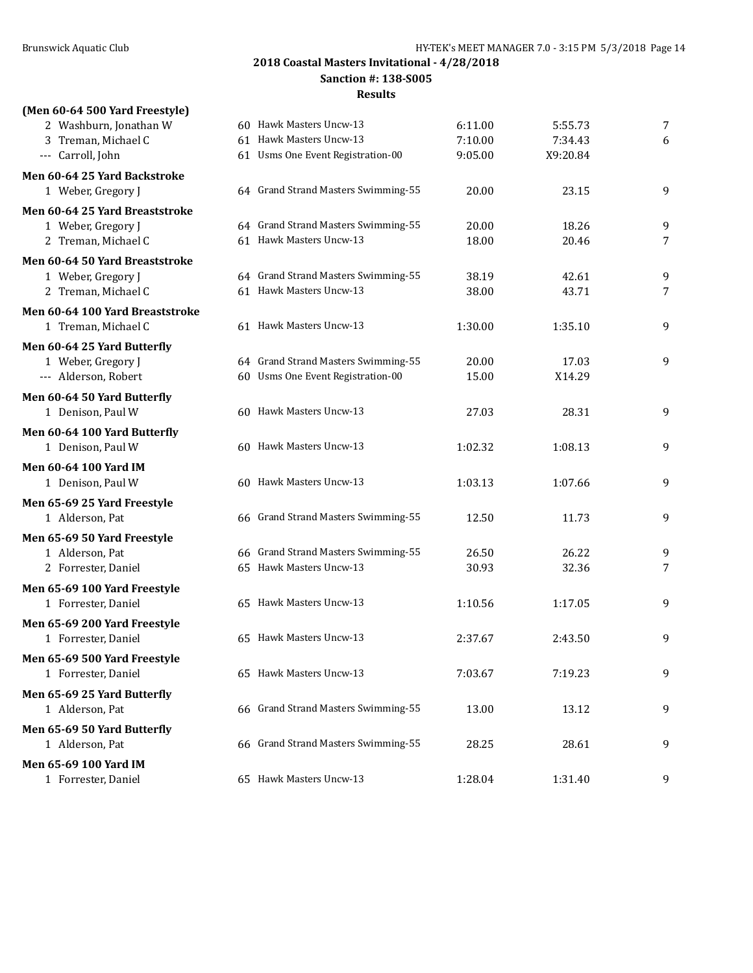**Sanction #: 138-S005**

| (Men 60-64 500 Yard Freestyle)                 |                                                                          |                |                 |   |
|------------------------------------------------|--------------------------------------------------------------------------|----------------|-----------------|---|
| 2 Washburn, Jonathan W                         | 60 Hawk Masters Uncw-13                                                  | 6:11.00        | 5:55.73         | 7 |
| 3 Treman, Michael C                            | 61 Hawk Masters Uncw-13                                                  | 7:10.00        | 7:34.43         | 6 |
| --- Carroll, John                              | 61 Usms One Event Registration-00                                        | 9:05.00        | X9:20.84        |   |
| Men 60-64 25 Yard Backstroke                   |                                                                          |                |                 |   |
| 1 Weber, Gregory J                             | 64 Grand Strand Masters Swimming-55                                      | 20.00          | 23.15           | 9 |
| Men 60-64 25 Yard Breaststroke                 |                                                                          |                |                 |   |
| 1 Weber, Gregory J                             | 64 Grand Strand Masters Swimming-55                                      | 20.00          | 18.26           | 9 |
| 2 Treman, Michael C                            | 61 Hawk Masters Uncw-13                                                  | 18.00          | 20.46           | 7 |
| Men 60-64 50 Yard Breaststroke                 |                                                                          |                |                 |   |
| 1 Weber, Gregory J                             | 64 Grand Strand Masters Swimming-55                                      | 38.19          | 42.61           | 9 |
| 2 Treman, Michael C                            | 61 Hawk Masters Uncw-13                                                  | 38.00          | 43.71           | 7 |
| Men 60-64 100 Yard Breaststroke                |                                                                          |                |                 |   |
| 1 Treman, Michael C                            | 61 Hawk Masters Uncw-13                                                  | 1:30.00        | 1:35.10         | 9 |
|                                                |                                                                          |                |                 |   |
| Men 60-64 25 Yard Butterfly                    |                                                                          |                |                 |   |
| 1 Weber, Gregory J<br>--- Alderson, Robert     | 64 Grand Strand Masters Swimming-55<br>60 Usms One Event Registration-00 | 20.00<br>15.00 | 17.03<br>X14.29 | 9 |
|                                                |                                                                          |                |                 |   |
| Men 60-64 50 Yard Butterfly                    |                                                                          |                |                 |   |
| 1 Denison, Paul W                              | 60 Hawk Masters Uncw-13                                                  | 27.03          | 28.31           | 9 |
| Men 60-64 100 Yard Butterfly                   |                                                                          |                |                 |   |
| 1 Denison, Paul W                              | 60 Hawk Masters Uncw-13                                                  | 1:02.32        | 1:08.13         | 9 |
| <b>Men 60-64 100 Yard IM</b>                   |                                                                          |                |                 |   |
| 1 Denison, Paul W                              | 60 Hawk Masters Uncw-13                                                  | 1:03.13        | 1:07.66         | 9 |
| Men 65-69 25 Yard Freestyle                    |                                                                          |                |                 |   |
| 1 Alderson, Pat                                | 66 Grand Strand Masters Swimming-55                                      | 12.50          | 11.73           | 9 |
| Men 65-69 50 Yard Freestyle                    |                                                                          |                |                 |   |
| 1 Alderson, Pat                                | 66 Grand Strand Masters Swimming-55                                      | 26.50          | 26.22           | 9 |
| 2 Forrester, Daniel                            | 65 Hawk Masters Uncw-13                                                  | 30.93          | 32.36           | 7 |
| Men 65-69 100 Yard Freestyle                   |                                                                          |                |                 |   |
| 1 Forrester, Daniel                            | 65 Hawk Masters Uncw-13                                                  | 1:10.56        | 1:17.05         | 9 |
| Men 65-69 200 Yard Freestyle                   |                                                                          |                |                 |   |
| 1 Forrester, Daniel                            | 65 Hawk Masters Uncw-13                                                  | 2:37.67        | 2:43.50         | 9 |
| Men 65-69 500 Yard Freestyle                   |                                                                          |                |                 |   |
| 1 Forrester, Daniel                            | 65 Hawk Masters Uncw-13                                                  | 7:03.67        | 7:19.23         | 9 |
|                                                |                                                                          |                |                 |   |
| Men 65-69 25 Yard Butterfly<br>1 Alderson, Pat | 66 Grand Strand Masters Swimming-55                                      | 13.00          | 13.12           | 9 |
|                                                |                                                                          |                |                 |   |
| Men 65-69 50 Yard Butterfly                    |                                                                          |                |                 |   |
| 1 Alderson, Pat                                | 66 Grand Strand Masters Swimming-55                                      | 28.25          | 28.61           | 9 |
| Men 65-69 100 Yard IM                          |                                                                          |                |                 |   |
| 1 Forrester, Daniel                            | 65 Hawk Masters Uncw-13                                                  | 1:28.04        | 1:31.40         | 9 |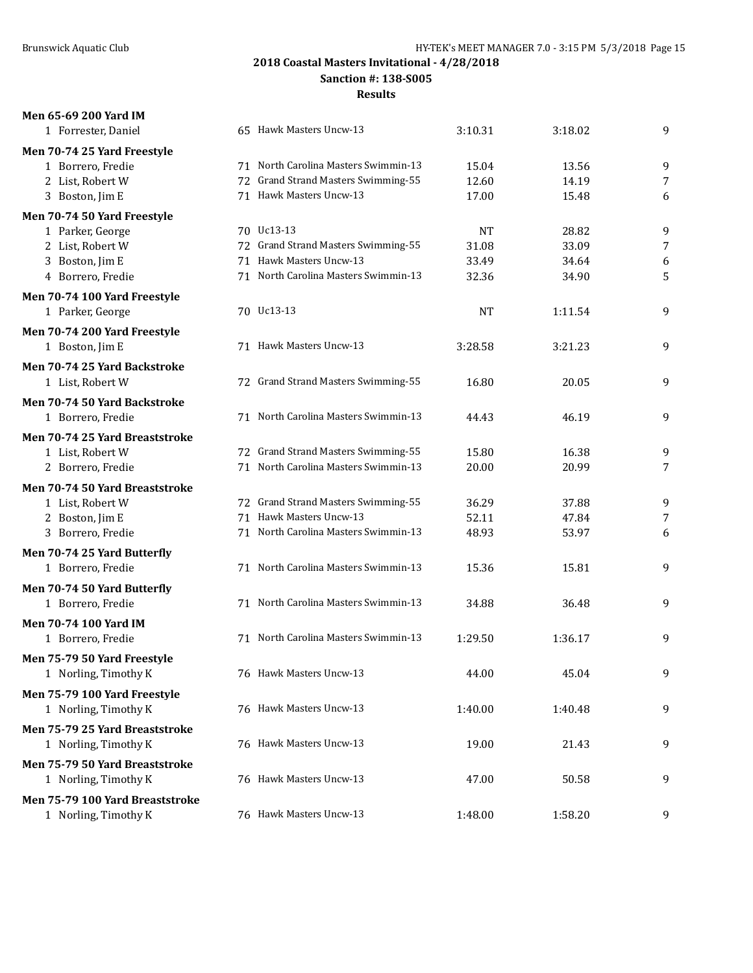**Men 65-69 200 Yard IM**

# **2018 Coastal Masters Invitational - 4/28/2018**

**Sanction #: 138-S005**

| 1 Forrester, Daniel                   | 65 Hawk Masters Uncw-13              | 3:10.31   | 3:18.02        | 9      |
|---------------------------------------|--------------------------------------|-----------|----------------|--------|
| Men 70-74 25 Yard Freestyle           |                                      |           |                |        |
| 1 Borrero, Fredie                     | 71 North Carolina Masters Swimmin-13 | 15.04     | 13.56          | 9      |
| 2 List, Robert W                      | 72 Grand Strand Masters Swimming-55  | 12.60     | 14.19          | 7      |
| 3 Boston, Jim E                       | 71 Hawk Masters Uncw-13              | 17.00     | 15.48          | 6      |
| Men 70-74 50 Yard Freestyle           |                                      |           |                |        |
| 1 Parker, George                      | 70 Uc13-13                           | <b>NT</b> | 28.82          | 9      |
| 2 List, Robert W                      | 72 Grand Strand Masters Swimming-55  | 31.08     | 33.09          | 7      |
| 3 Boston, Jim E                       | 71 Hawk Masters Uncw-13              | 33.49     | 34.64          | 6      |
| 4 Borrero, Fredie                     | 71 North Carolina Masters Swimmin-13 | 32.36     | 34.90          | 5      |
| Men 70-74 100 Yard Freestyle          |                                      |           |                |        |
| 1 Parker, George                      | 70 Uc13-13                           | <b>NT</b> | 1:11.54        | 9      |
| Men 70-74 200 Yard Freestyle          |                                      |           |                |        |
| 1 Boston, Jim E                       | 71 Hawk Masters Uncw-13              | 3:28.58   | 3:21.23        | 9      |
| Men 70-74 25 Yard Backstroke          |                                      |           |                |        |
| 1 List, Robert W                      | 72 Grand Strand Masters Swimming-55  | 16.80     | 20.05          | 9      |
| Men 70-74 50 Yard Backstroke          |                                      |           |                |        |
| 1 Borrero, Fredie                     | 71 North Carolina Masters Swimmin-13 | 44.43     | 46.19          | 9      |
|                                       |                                      |           |                |        |
| Men 70-74 25 Yard Breaststroke        | 72 Grand Strand Masters Swimming-55  | 15.80     |                |        |
| 1 List, Robert W<br>2 Borrero, Fredie | 71 North Carolina Masters Swimmin-13 | 20.00     | 16.38<br>20.99 | 9<br>7 |
|                                       |                                      |           |                |        |
| Men 70-74 50 Yard Breaststroke        |                                      |           |                |        |
| 1 List, Robert W                      | 72 Grand Strand Masters Swimming-55  | 36.29     | 37.88          | 9      |
| 2 Boston, Jim E                       | 71 Hawk Masters Uncw-13              | 52.11     | 47.84          | 7      |
| 3 Borrero, Fredie                     | 71 North Carolina Masters Swimmin-13 | 48.93     | 53.97          | 6      |
| Men 70-74 25 Yard Butterfly           |                                      |           |                |        |
| 1 Borrero, Fredie                     | 71 North Carolina Masters Swimmin-13 | 15.36     | 15.81          | 9      |
| Men 70-74 50 Yard Butterfly           |                                      |           |                |        |
| 1 Borrero, Fredie                     | 71 North Carolina Masters Swimmin-13 | 34.88     | 36.48          | 9      |
| <b>Men 70-74 100 Yard IM</b>          |                                      |           |                |        |
| 1 Borrero, Fredie                     | 71 North Carolina Masters Swimmin-13 | 1:29.50   | 1:36.17        | 9      |
| Men 75-79 50 Yard Freestyle           |                                      |           |                |        |
| 1 Norling, Timothy K                  | 76 Hawk Masters Uncw-13              | 44.00     | 45.04          | 9      |
| Men 75-79 100 Yard Freestyle          |                                      |           |                |        |
| 1 Norling, Timothy K                  | 76 Hawk Masters Uncw-13              | 1:40.00   | 1:40.48        | 9      |
|                                       |                                      |           |                |        |
| Men 75-79 25 Yard Breaststroke        |                                      |           |                |        |
| 1 Norling, Timothy K                  | 76 Hawk Masters Uncw-13              | 19.00     | 21.43          | 9      |
| Men 75-79 50 Yard Breaststroke        |                                      |           |                |        |
| 1 Norling, Timothy K                  | 76 Hawk Masters Uncw-13              | 47.00     | 50.58          | 9      |
| Men 75-79 100 Yard Breaststroke       |                                      |           |                |        |
| 1 Norling, Timothy K                  | 76 Hawk Masters Uncw-13              | 1:48.00   | 1:58.20        | 9      |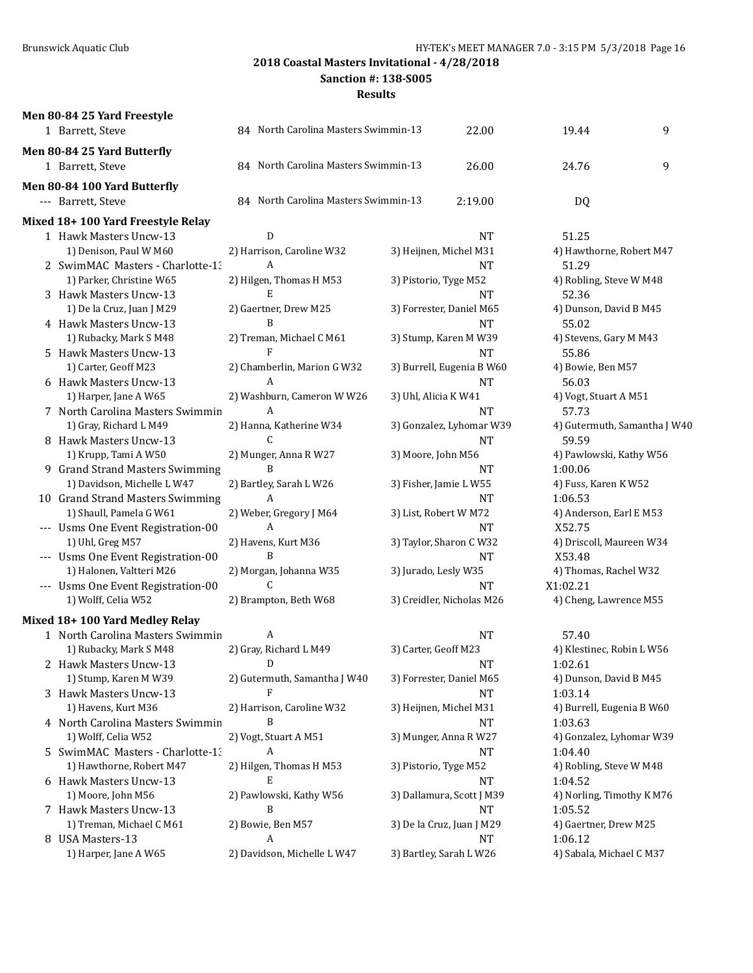**Sanction #: 138-S005**

| 84 North Carolina Masters Swimmin-13<br>9<br>19.44<br>1 Barrett, Steve<br>22.00<br>Men 80-84 25 Yard Butterfly<br>9<br>1 Barrett, Steve<br>84 North Carolina Masters Swimmin-13<br>26.00<br>24.76<br>Men 80-84 100 Yard Butterfly<br>84 North Carolina Masters Swimmin-13<br>--- Barrett, Steve<br>2:19.00<br>DQ<br>Mixed 18+ 100 Yard Freestyle Relay<br>1 Hawk Masters Uncw-13<br>D<br><b>NT</b><br>51.25<br>1) Denison, Paul W M60<br>2) Harrison, Caroline W32<br>3) Heijnen, Michel M31<br>4) Hawthorne, Robert M47<br>2 SwimMAC Masters - Charlotte-1.<br>A<br><b>NT</b><br>51.29<br>1) Parker, Christine W65<br>2) Hilgen, Thomas H M53<br>3) Pistorio, Tyge M52<br>4) Robling, Steve W M48<br>E<br>3 Hawk Masters Uncw-13<br><b>NT</b><br>52.36<br>1) De la Cruz, Juan J M29<br>2) Gaertner, Drew M25<br>3) Forrester, Daniel M65<br>4) Dunson, David B M45<br>4 Hawk Masters Uncw-13<br>R<br><b>NT</b><br>55.02<br>1) Rubacky, Mark S M48<br>2) Treman, Michael C M61<br>3) Stump, Karen M W39<br>4) Stevens, Gary M M43<br>5 Hawk Masters Uncw-13<br><b>NT</b><br>55.86<br>1) Carter, Geoff M23<br>3) Burrell, Eugenia B W60<br>2) Chamberlin, Marion G W32<br>4) Bowie, Ben M57<br>6 Hawk Masters Uncw-13<br>A<br>56.03<br>NT<br>2) Washburn, Cameron W W26<br>3) Uhl, Alicia K W41<br>1) Harper, Jane A W65<br>4) Vogt, Stuart A M51<br>7 North Carolina Masters Swimmin<br>A<br><b>NT</b><br>57.73<br>1) Gray, Richard L M49<br>2) Hanna, Katherine W34<br>3) Gonzalez, Lyhomar W39<br>4) Gutermuth, Samantha J W40<br>$\mathcal{C}$<br>8 Hawk Masters Uncw-13<br><b>NT</b><br>59.59<br>1) Krupp, Tami A W50<br>2) Munger, Anna R W27<br>3) Moore, John M56<br>4) Pawlowski, Kathy W56<br>B<br>9 Grand Strand Masters Swimming<br>1:00.06<br>NT<br>1) Davidson, Michelle L W47<br>2) Bartley, Sarah L W26<br>3) Fisher, Jamie L W55<br>4) Fuss, Karen K W52<br>A<br>10 Grand Strand Masters Swimming<br><b>NT</b><br>1:06.53<br>1) Shaull, Pamela G W61<br>2) Weber, Gregory J M64<br>3) List, Robert W M72<br>4) Anderson, Earl E M53<br>A<br>--- Usms One Event Registration-00<br><b>NT</b><br>X52.75<br>1) Uhl, Greg M57<br>3) Taylor, Sharon C W32<br>2) Havens, Kurt M36<br>4) Driscoll, Maureen W34<br>B<br>--- Usms One Event Registration-00<br><b>NT</b><br>X53.48<br>1) Halonen, Valtteri M26<br>2) Morgan, Johanna W35<br>3) Jurado, Lesly W35<br>4) Thomas, Rachel W32<br>C<br>--- Usms One Event Registration-00<br><b>NT</b><br>X1:02.21<br>1) Wolff, Celia W52<br>3) Creidler, Nicholas M26<br>2) Brampton, Beth W68<br>4) Cheng, Lawrence M55<br>Mixed 18+ 100 Yard Medley Relay<br>1 North Carolina Masters Swimmin<br>A<br><b>NT</b><br>57.40<br>2) Gray, Richard L M49<br>1) Rubacky, Mark S M48<br>3) Carter, Geoff M23<br>4) Klestinec, Robin L W56<br>D<br>1:02.61<br>2 Hawk Masters Uncw-13<br>NT<br>1) Stump, Karen M W39<br>2) Gutermuth, Samantha J W40<br>3) Forrester, Daniel M65<br>4) Dunson, David B M45<br>3 Hawk Masters Uncw-13<br>F<br>NT<br>1:03.14<br>1) Havens, Kurt M36<br>2) Harrison, Caroline W32<br>4) Burrell, Eugenia B W60<br>3) Heijnen, Michel M31<br>4 North Carolina Masters Swimmin<br>B<br>NT<br>1:03.63<br>2) Vogt, Stuart A M51<br>3) Munger, Anna R W27<br>4) Gonzalez, Lyhomar W39<br>1) Wolff, Celia W52<br>5 SwimMAC Masters - Charlotte-1.<br>A<br>NT<br>1:04.40<br>1) Hawthorne, Robert M47<br>2) Hilgen, Thomas H M53<br>3) Pistorio, Tyge M52<br>4) Robling, Steve W M48<br>6 Hawk Masters Uncw-13<br>E<br>NT<br>1:04.52<br>1) Moore, John M56<br>2) Pawlowski, Kathy W56<br>3) Dallamura, Scott J M39<br>4) Norling, Timothy K M76<br>7 Hawk Masters Uncw-13<br>B<br>NT<br>1:05.52<br>2) Bowie, Ben M57<br>1) Treman, Michael C M61<br>3) De la Cruz, Juan J M29<br>4) Gaertner, Drew M25<br>8 USA Masters-13 | Men 80-84 25 Yard Freestyle |   |    |         |  |
|--------------------------------------------------------------------------------------------------------------------------------------------------------------------------------------------------------------------------------------------------------------------------------------------------------------------------------------------------------------------------------------------------------------------------------------------------------------------------------------------------------------------------------------------------------------------------------------------------------------------------------------------------------------------------------------------------------------------------------------------------------------------------------------------------------------------------------------------------------------------------------------------------------------------------------------------------------------------------------------------------------------------------------------------------------------------------------------------------------------------------------------------------------------------------------------------------------------------------------------------------------------------------------------------------------------------------------------------------------------------------------------------------------------------------------------------------------------------------------------------------------------------------------------------------------------------------------------------------------------------------------------------------------------------------------------------------------------------------------------------------------------------------------------------------------------------------------------------------------------------------------------------------------------------------------------------------------------------------------------------------------------------------------------------------------------------------------------------------------------------------------------------------------------------------------------------------------------------------------------------------------------------------------------------------------------------------------------------------------------------------------------------------------------------------------------------------------------------------------------------------------------------------------------------------------------------------------------------------------------------------------------------------------------------------------------------------------------------------------------------------------------------------------------------------------------------------------------------------------------------------------------------------------------------------------------------------------------------------------------------------------------------------------------------------------------------------------------------------------------------------------------------------------------------------------------------------------------------------------------------------------------------------------------------------------------------------------------------------------------------------------------------------------------------------------------------------------------------------------------------------------------------------------------------------------------------------------------------------------------------------------------------------------------------------------------------------------------------------------------------------------------------------------------------|-----------------------------|---|----|---------|--|
|                                                                                                                                                                                                                                                                                                                                                                                                                                                                                                                                                                                                                                                                                                                                                                                                                                                                                                                                                                                                                                                                                                                                                                                                                                                                                                                                                                                                                                                                                                                                                                                                                                                                                                                                                                                                                                                                                                                                                                                                                                                                                                                                                                                                                                                                                                                                                                                                                                                                                                                                                                                                                                                                                                                                                                                                                                                                                                                                                                                                                                                                                                                                                                                                                                                                                                                                                                                                                                                                                                                                                                                                                                                                                                                                                                                            |                             |   |    |         |  |
|                                                                                                                                                                                                                                                                                                                                                                                                                                                                                                                                                                                                                                                                                                                                                                                                                                                                                                                                                                                                                                                                                                                                                                                                                                                                                                                                                                                                                                                                                                                                                                                                                                                                                                                                                                                                                                                                                                                                                                                                                                                                                                                                                                                                                                                                                                                                                                                                                                                                                                                                                                                                                                                                                                                                                                                                                                                                                                                                                                                                                                                                                                                                                                                                                                                                                                                                                                                                                                                                                                                                                                                                                                                                                                                                                                                            |                             |   |    |         |  |
|                                                                                                                                                                                                                                                                                                                                                                                                                                                                                                                                                                                                                                                                                                                                                                                                                                                                                                                                                                                                                                                                                                                                                                                                                                                                                                                                                                                                                                                                                                                                                                                                                                                                                                                                                                                                                                                                                                                                                                                                                                                                                                                                                                                                                                                                                                                                                                                                                                                                                                                                                                                                                                                                                                                                                                                                                                                                                                                                                                                                                                                                                                                                                                                                                                                                                                                                                                                                                                                                                                                                                                                                                                                                                                                                                                                            |                             |   |    |         |  |
|                                                                                                                                                                                                                                                                                                                                                                                                                                                                                                                                                                                                                                                                                                                                                                                                                                                                                                                                                                                                                                                                                                                                                                                                                                                                                                                                                                                                                                                                                                                                                                                                                                                                                                                                                                                                                                                                                                                                                                                                                                                                                                                                                                                                                                                                                                                                                                                                                                                                                                                                                                                                                                                                                                                                                                                                                                                                                                                                                                                                                                                                                                                                                                                                                                                                                                                                                                                                                                                                                                                                                                                                                                                                                                                                                                                            |                             |   |    |         |  |
|                                                                                                                                                                                                                                                                                                                                                                                                                                                                                                                                                                                                                                                                                                                                                                                                                                                                                                                                                                                                                                                                                                                                                                                                                                                                                                                                                                                                                                                                                                                                                                                                                                                                                                                                                                                                                                                                                                                                                                                                                                                                                                                                                                                                                                                                                                                                                                                                                                                                                                                                                                                                                                                                                                                                                                                                                                                                                                                                                                                                                                                                                                                                                                                                                                                                                                                                                                                                                                                                                                                                                                                                                                                                                                                                                                                            |                             |   |    |         |  |
|                                                                                                                                                                                                                                                                                                                                                                                                                                                                                                                                                                                                                                                                                                                                                                                                                                                                                                                                                                                                                                                                                                                                                                                                                                                                                                                                                                                                                                                                                                                                                                                                                                                                                                                                                                                                                                                                                                                                                                                                                                                                                                                                                                                                                                                                                                                                                                                                                                                                                                                                                                                                                                                                                                                                                                                                                                                                                                                                                                                                                                                                                                                                                                                                                                                                                                                                                                                                                                                                                                                                                                                                                                                                                                                                                                                            |                             |   |    |         |  |
|                                                                                                                                                                                                                                                                                                                                                                                                                                                                                                                                                                                                                                                                                                                                                                                                                                                                                                                                                                                                                                                                                                                                                                                                                                                                                                                                                                                                                                                                                                                                                                                                                                                                                                                                                                                                                                                                                                                                                                                                                                                                                                                                                                                                                                                                                                                                                                                                                                                                                                                                                                                                                                                                                                                                                                                                                                                                                                                                                                                                                                                                                                                                                                                                                                                                                                                                                                                                                                                                                                                                                                                                                                                                                                                                                                                            |                             |   |    |         |  |
|                                                                                                                                                                                                                                                                                                                                                                                                                                                                                                                                                                                                                                                                                                                                                                                                                                                                                                                                                                                                                                                                                                                                                                                                                                                                                                                                                                                                                                                                                                                                                                                                                                                                                                                                                                                                                                                                                                                                                                                                                                                                                                                                                                                                                                                                                                                                                                                                                                                                                                                                                                                                                                                                                                                                                                                                                                                                                                                                                                                                                                                                                                                                                                                                                                                                                                                                                                                                                                                                                                                                                                                                                                                                                                                                                                                            |                             |   |    |         |  |
|                                                                                                                                                                                                                                                                                                                                                                                                                                                                                                                                                                                                                                                                                                                                                                                                                                                                                                                                                                                                                                                                                                                                                                                                                                                                                                                                                                                                                                                                                                                                                                                                                                                                                                                                                                                                                                                                                                                                                                                                                                                                                                                                                                                                                                                                                                                                                                                                                                                                                                                                                                                                                                                                                                                                                                                                                                                                                                                                                                                                                                                                                                                                                                                                                                                                                                                                                                                                                                                                                                                                                                                                                                                                                                                                                                                            |                             |   |    |         |  |
|                                                                                                                                                                                                                                                                                                                                                                                                                                                                                                                                                                                                                                                                                                                                                                                                                                                                                                                                                                                                                                                                                                                                                                                                                                                                                                                                                                                                                                                                                                                                                                                                                                                                                                                                                                                                                                                                                                                                                                                                                                                                                                                                                                                                                                                                                                                                                                                                                                                                                                                                                                                                                                                                                                                                                                                                                                                                                                                                                                                                                                                                                                                                                                                                                                                                                                                                                                                                                                                                                                                                                                                                                                                                                                                                                                                            |                             |   |    |         |  |
|                                                                                                                                                                                                                                                                                                                                                                                                                                                                                                                                                                                                                                                                                                                                                                                                                                                                                                                                                                                                                                                                                                                                                                                                                                                                                                                                                                                                                                                                                                                                                                                                                                                                                                                                                                                                                                                                                                                                                                                                                                                                                                                                                                                                                                                                                                                                                                                                                                                                                                                                                                                                                                                                                                                                                                                                                                                                                                                                                                                                                                                                                                                                                                                                                                                                                                                                                                                                                                                                                                                                                                                                                                                                                                                                                                                            |                             |   |    |         |  |
|                                                                                                                                                                                                                                                                                                                                                                                                                                                                                                                                                                                                                                                                                                                                                                                                                                                                                                                                                                                                                                                                                                                                                                                                                                                                                                                                                                                                                                                                                                                                                                                                                                                                                                                                                                                                                                                                                                                                                                                                                                                                                                                                                                                                                                                                                                                                                                                                                                                                                                                                                                                                                                                                                                                                                                                                                                                                                                                                                                                                                                                                                                                                                                                                                                                                                                                                                                                                                                                                                                                                                                                                                                                                                                                                                                                            |                             |   |    |         |  |
|                                                                                                                                                                                                                                                                                                                                                                                                                                                                                                                                                                                                                                                                                                                                                                                                                                                                                                                                                                                                                                                                                                                                                                                                                                                                                                                                                                                                                                                                                                                                                                                                                                                                                                                                                                                                                                                                                                                                                                                                                                                                                                                                                                                                                                                                                                                                                                                                                                                                                                                                                                                                                                                                                                                                                                                                                                                                                                                                                                                                                                                                                                                                                                                                                                                                                                                                                                                                                                                                                                                                                                                                                                                                                                                                                                                            |                             |   |    |         |  |
|                                                                                                                                                                                                                                                                                                                                                                                                                                                                                                                                                                                                                                                                                                                                                                                                                                                                                                                                                                                                                                                                                                                                                                                                                                                                                                                                                                                                                                                                                                                                                                                                                                                                                                                                                                                                                                                                                                                                                                                                                                                                                                                                                                                                                                                                                                                                                                                                                                                                                                                                                                                                                                                                                                                                                                                                                                                                                                                                                                                                                                                                                                                                                                                                                                                                                                                                                                                                                                                                                                                                                                                                                                                                                                                                                                                            |                             |   |    |         |  |
|                                                                                                                                                                                                                                                                                                                                                                                                                                                                                                                                                                                                                                                                                                                                                                                                                                                                                                                                                                                                                                                                                                                                                                                                                                                                                                                                                                                                                                                                                                                                                                                                                                                                                                                                                                                                                                                                                                                                                                                                                                                                                                                                                                                                                                                                                                                                                                                                                                                                                                                                                                                                                                                                                                                                                                                                                                                                                                                                                                                                                                                                                                                                                                                                                                                                                                                                                                                                                                                                                                                                                                                                                                                                                                                                                                                            |                             |   |    |         |  |
|                                                                                                                                                                                                                                                                                                                                                                                                                                                                                                                                                                                                                                                                                                                                                                                                                                                                                                                                                                                                                                                                                                                                                                                                                                                                                                                                                                                                                                                                                                                                                                                                                                                                                                                                                                                                                                                                                                                                                                                                                                                                                                                                                                                                                                                                                                                                                                                                                                                                                                                                                                                                                                                                                                                                                                                                                                                                                                                                                                                                                                                                                                                                                                                                                                                                                                                                                                                                                                                                                                                                                                                                                                                                                                                                                                                            |                             |   |    |         |  |
|                                                                                                                                                                                                                                                                                                                                                                                                                                                                                                                                                                                                                                                                                                                                                                                                                                                                                                                                                                                                                                                                                                                                                                                                                                                                                                                                                                                                                                                                                                                                                                                                                                                                                                                                                                                                                                                                                                                                                                                                                                                                                                                                                                                                                                                                                                                                                                                                                                                                                                                                                                                                                                                                                                                                                                                                                                                                                                                                                                                                                                                                                                                                                                                                                                                                                                                                                                                                                                                                                                                                                                                                                                                                                                                                                                                            |                             |   |    |         |  |
|                                                                                                                                                                                                                                                                                                                                                                                                                                                                                                                                                                                                                                                                                                                                                                                                                                                                                                                                                                                                                                                                                                                                                                                                                                                                                                                                                                                                                                                                                                                                                                                                                                                                                                                                                                                                                                                                                                                                                                                                                                                                                                                                                                                                                                                                                                                                                                                                                                                                                                                                                                                                                                                                                                                                                                                                                                                                                                                                                                                                                                                                                                                                                                                                                                                                                                                                                                                                                                                                                                                                                                                                                                                                                                                                                                                            |                             |   |    |         |  |
|                                                                                                                                                                                                                                                                                                                                                                                                                                                                                                                                                                                                                                                                                                                                                                                                                                                                                                                                                                                                                                                                                                                                                                                                                                                                                                                                                                                                                                                                                                                                                                                                                                                                                                                                                                                                                                                                                                                                                                                                                                                                                                                                                                                                                                                                                                                                                                                                                                                                                                                                                                                                                                                                                                                                                                                                                                                                                                                                                                                                                                                                                                                                                                                                                                                                                                                                                                                                                                                                                                                                                                                                                                                                                                                                                                                            |                             |   |    |         |  |
|                                                                                                                                                                                                                                                                                                                                                                                                                                                                                                                                                                                                                                                                                                                                                                                                                                                                                                                                                                                                                                                                                                                                                                                                                                                                                                                                                                                                                                                                                                                                                                                                                                                                                                                                                                                                                                                                                                                                                                                                                                                                                                                                                                                                                                                                                                                                                                                                                                                                                                                                                                                                                                                                                                                                                                                                                                                                                                                                                                                                                                                                                                                                                                                                                                                                                                                                                                                                                                                                                                                                                                                                                                                                                                                                                                                            |                             |   |    |         |  |
|                                                                                                                                                                                                                                                                                                                                                                                                                                                                                                                                                                                                                                                                                                                                                                                                                                                                                                                                                                                                                                                                                                                                                                                                                                                                                                                                                                                                                                                                                                                                                                                                                                                                                                                                                                                                                                                                                                                                                                                                                                                                                                                                                                                                                                                                                                                                                                                                                                                                                                                                                                                                                                                                                                                                                                                                                                                                                                                                                                                                                                                                                                                                                                                                                                                                                                                                                                                                                                                                                                                                                                                                                                                                                                                                                                                            |                             |   |    |         |  |
|                                                                                                                                                                                                                                                                                                                                                                                                                                                                                                                                                                                                                                                                                                                                                                                                                                                                                                                                                                                                                                                                                                                                                                                                                                                                                                                                                                                                                                                                                                                                                                                                                                                                                                                                                                                                                                                                                                                                                                                                                                                                                                                                                                                                                                                                                                                                                                                                                                                                                                                                                                                                                                                                                                                                                                                                                                                                                                                                                                                                                                                                                                                                                                                                                                                                                                                                                                                                                                                                                                                                                                                                                                                                                                                                                                                            |                             |   |    |         |  |
|                                                                                                                                                                                                                                                                                                                                                                                                                                                                                                                                                                                                                                                                                                                                                                                                                                                                                                                                                                                                                                                                                                                                                                                                                                                                                                                                                                                                                                                                                                                                                                                                                                                                                                                                                                                                                                                                                                                                                                                                                                                                                                                                                                                                                                                                                                                                                                                                                                                                                                                                                                                                                                                                                                                                                                                                                                                                                                                                                                                                                                                                                                                                                                                                                                                                                                                                                                                                                                                                                                                                                                                                                                                                                                                                                                                            |                             |   |    |         |  |
|                                                                                                                                                                                                                                                                                                                                                                                                                                                                                                                                                                                                                                                                                                                                                                                                                                                                                                                                                                                                                                                                                                                                                                                                                                                                                                                                                                                                                                                                                                                                                                                                                                                                                                                                                                                                                                                                                                                                                                                                                                                                                                                                                                                                                                                                                                                                                                                                                                                                                                                                                                                                                                                                                                                                                                                                                                                                                                                                                                                                                                                                                                                                                                                                                                                                                                                                                                                                                                                                                                                                                                                                                                                                                                                                                                                            |                             |   |    |         |  |
|                                                                                                                                                                                                                                                                                                                                                                                                                                                                                                                                                                                                                                                                                                                                                                                                                                                                                                                                                                                                                                                                                                                                                                                                                                                                                                                                                                                                                                                                                                                                                                                                                                                                                                                                                                                                                                                                                                                                                                                                                                                                                                                                                                                                                                                                                                                                                                                                                                                                                                                                                                                                                                                                                                                                                                                                                                                                                                                                                                                                                                                                                                                                                                                                                                                                                                                                                                                                                                                                                                                                                                                                                                                                                                                                                                                            |                             |   |    |         |  |
|                                                                                                                                                                                                                                                                                                                                                                                                                                                                                                                                                                                                                                                                                                                                                                                                                                                                                                                                                                                                                                                                                                                                                                                                                                                                                                                                                                                                                                                                                                                                                                                                                                                                                                                                                                                                                                                                                                                                                                                                                                                                                                                                                                                                                                                                                                                                                                                                                                                                                                                                                                                                                                                                                                                                                                                                                                                                                                                                                                                                                                                                                                                                                                                                                                                                                                                                                                                                                                                                                                                                                                                                                                                                                                                                                                                            |                             |   |    |         |  |
|                                                                                                                                                                                                                                                                                                                                                                                                                                                                                                                                                                                                                                                                                                                                                                                                                                                                                                                                                                                                                                                                                                                                                                                                                                                                                                                                                                                                                                                                                                                                                                                                                                                                                                                                                                                                                                                                                                                                                                                                                                                                                                                                                                                                                                                                                                                                                                                                                                                                                                                                                                                                                                                                                                                                                                                                                                                                                                                                                                                                                                                                                                                                                                                                                                                                                                                                                                                                                                                                                                                                                                                                                                                                                                                                                                                            |                             |   |    |         |  |
|                                                                                                                                                                                                                                                                                                                                                                                                                                                                                                                                                                                                                                                                                                                                                                                                                                                                                                                                                                                                                                                                                                                                                                                                                                                                                                                                                                                                                                                                                                                                                                                                                                                                                                                                                                                                                                                                                                                                                                                                                                                                                                                                                                                                                                                                                                                                                                                                                                                                                                                                                                                                                                                                                                                                                                                                                                                                                                                                                                                                                                                                                                                                                                                                                                                                                                                                                                                                                                                                                                                                                                                                                                                                                                                                                                                            |                             |   |    |         |  |
|                                                                                                                                                                                                                                                                                                                                                                                                                                                                                                                                                                                                                                                                                                                                                                                                                                                                                                                                                                                                                                                                                                                                                                                                                                                                                                                                                                                                                                                                                                                                                                                                                                                                                                                                                                                                                                                                                                                                                                                                                                                                                                                                                                                                                                                                                                                                                                                                                                                                                                                                                                                                                                                                                                                                                                                                                                                                                                                                                                                                                                                                                                                                                                                                                                                                                                                                                                                                                                                                                                                                                                                                                                                                                                                                                                                            |                             |   |    |         |  |
|                                                                                                                                                                                                                                                                                                                                                                                                                                                                                                                                                                                                                                                                                                                                                                                                                                                                                                                                                                                                                                                                                                                                                                                                                                                                                                                                                                                                                                                                                                                                                                                                                                                                                                                                                                                                                                                                                                                                                                                                                                                                                                                                                                                                                                                                                                                                                                                                                                                                                                                                                                                                                                                                                                                                                                                                                                                                                                                                                                                                                                                                                                                                                                                                                                                                                                                                                                                                                                                                                                                                                                                                                                                                                                                                                                                            |                             |   |    |         |  |
|                                                                                                                                                                                                                                                                                                                                                                                                                                                                                                                                                                                                                                                                                                                                                                                                                                                                                                                                                                                                                                                                                                                                                                                                                                                                                                                                                                                                                                                                                                                                                                                                                                                                                                                                                                                                                                                                                                                                                                                                                                                                                                                                                                                                                                                                                                                                                                                                                                                                                                                                                                                                                                                                                                                                                                                                                                                                                                                                                                                                                                                                                                                                                                                                                                                                                                                                                                                                                                                                                                                                                                                                                                                                                                                                                                                            |                             |   |    |         |  |
|                                                                                                                                                                                                                                                                                                                                                                                                                                                                                                                                                                                                                                                                                                                                                                                                                                                                                                                                                                                                                                                                                                                                                                                                                                                                                                                                                                                                                                                                                                                                                                                                                                                                                                                                                                                                                                                                                                                                                                                                                                                                                                                                                                                                                                                                                                                                                                                                                                                                                                                                                                                                                                                                                                                                                                                                                                                                                                                                                                                                                                                                                                                                                                                                                                                                                                                                                                                                                                                                                                                                                                                                                                                                                                                                                                                            |                             |   |    |         |  |
|                                                                                                                                                                                                                                                                                                                                                                                                                                                                                                                                                                                                                                                                                                                                                                                                                                                                                                                                                                                                                                                                                                                                                                                                                                                                                                                                                                                                                                                                                                                                                                                                                                                                                                                                                                                                                                                                                                                                                                                                                                                                                                                                                                                                                                                                                                                                                                                                                                                                                                                                                                                                                                                                                                                                                                                                                                                                                                                                                                                                                                                                                                                                                                                                                                                                                                                                                                                                                                                                                                                                                                                                                                                                                                                                                                                            |                             |   |    |         |  |
|                                                                                                                                                                                                                                                                                                                                                                                                                                                                                                                                                                                                                                                                                                                                                                                                                                                                                                                                                                                                                                                                                                                                                                                                                                                                                                                                                                                                                                                                                                                                                                                                                                                                                                                                                                                                                                                                                                                                                                                                                                                                                                                                                                                                                                                                                                                                                                                                                                                                                                                                                                                                                                                                                                                                                                                                                                                                                                                                                                                                                                                                                                                                                                                                                                                                                                                                                                                                                                                                                                                                                                                                                                                                                                                                                                                            |                             |   |    |         |  |
|                                                                                                                                                                                                                                                                                                                                                                                                                                                                                                                                                                                                                                                                                                                                                                                                                                                                                                                                                                                                                                                                                                                                                                                                                                                                                                                                                                                                                                                                                                                                                                                                                                                                                                                                                                                                                                                                                                                                                                                                                                                                                                                                                                                                                                                                                                                                                                                                                                                                                                                                                                                                                                                                                                                                                                                                                                                                                                                                                                                                                                                                                                                                                                                                                                                                                                                                                                                                                                                                                                                                                                                                                                                                                                                                                                                            |                             |   |    |         |  |
|                                                                                                                                                                                                                                                                                                                                                                                                                                                                                                                                                                                                                                                                                                                                                                                                                                                                                                                                                                                                                                                                                                                                                                                                                                                                                                                                                                                                                                                                                                                                                                                                                                                                                                                                                                                                                                                                                                                                                                                                                                                                                                                                                                                                                                                                                                                                                                                                                                                                                                                                                                                                                                                                                                                                                                                                                                                                                                                                                                                                                                                                                                                                                                                                                                                                                                                                                                                                                                                                                                                                                                                                                                                                                                                                                                                            |                             |   |    |         |  |
|                                                                                                                                                                                                                                                                                                                                                                                                                                                                                                                                                                                                                                                                                                                                                                                                                                                                                                                                                                                                                                                                                                                                                                                                                                                                                                                                                                                                                                                                                                                                                                                                                                                                                                                                                                                                                                                                                                                                                                                                                                                                                                                                                                                                                                                                                                                                                                                                                                                                                                                                                                                                                                                                                                                                                                                                                                                                                                                                                                                                                                                                                                                                                                                                                                                                                                                                                                                                                                                                                                                                                                                                                                                                                                                                                                                            |                             |   |    |         |  |
|                                                                                                                                                                                                                                                                                                                                                                                                                                                                                                                                                                                                                                                                                                                                                                                                                                                                                                                                                                                                                                                                                                                                                                                                                                                                                                                                                                                                                                                                                                                                                                                                                                                                                                                                                                                                                                                                                                                                                                                                                                                                                                                                                                                                                                                                                                                                                                                                                                                                                                                                                                                                                                                                                                                                                                                                                                                                                                                                                                                                                                                                                                                                                                                                                                                                                                                                                                                                                                                                                                                                                                                                                                                                                                                                                                                            |                             |   |    |         |  |
|                                                                                                                                                                                                                                                                                                                                                                                                                                                                                                                                                                                                                                                                                                                                                                                                                                                                                                                                                                                                                                                                                                                                                                                                                                                                                                                                                                                                                                                                                                                                                                                                                                                                                                                                                                                                                                                                                                                                                                                                                                                                                                                                                                                                                                                                                                                                                                                                                                                                                                                                                                                                                                                                                                                                                                                                                                                                                                                                                                                                                                                                                                                                                                                                                                                                                                                                                                                                                                                                                                                                                                                                                                                                                                                                                                                            |                             |   |    |         |  |
|                                                                                                                                                                                                                                                                                                                                                                                                                                                                                                                                                                                                                                                                                                                                                                                                                                                                                                                                                                                                                                                                                                                                                                                                                                                                                                                                                                                                                                                                                                                                                                                                                                                                                                                                                                                                                                                                                                                                                                                                                                                                                                                                                                                                                                                                                                                                                                                                                                                                                                                                                                                                                                                                                                                                                                                                                                                                                                                                                                                                                                                                                                                                                                                                                                                                                                                                                                                                                                                                                                                                                                                                                                                                                                                                                                                            |                             |   |    |         |  |
|                                                                                                                                                                                                                                                                                                                                                                                                                                                                                                                                                                                                                                                                                                                                                                                                                                                                                                                                                                                                                                                                                                                                                                                                                                                                                                                                                                                                                                                                                                                                                                                                                                                                                                                                                                                                                                                                                                                                                                                                                                                                                                                                                                                                                                                                                                                                                                                                                                                                                                                                                                                                                                                                                                                                                                                                                                                                                                                                                                                                                                                                                                                                                                                                                                                                                                                                                                                                                                                                                                                                                                                                                                                                                                                                                                                            |                             |   |    |         |  |
|                                                                                                                                                                                                                                                                                                                                                                                                                                                                                                                                                                                                                                                                                                                                                                                                                                                                                                                                                                                                                                                                                                                                                                                                                                                                                                                                                                                                                                                                                                                                                                                                                                                                                                                                                                                                                                                                                                                                                                                                                                                                                                                                                                                                                                                                                                                                                                                                                                                                                                                                                                                                                                                                                                                                                                                                                                                                                                                                                                                                                                                                                                                                                                                                                                                                                                                                                                                                                                                                                                                                                                                                                                                                                                                                                                                            |                             |   |    |         |  |
|                                                                                                                                                                                                                                                                                                                                                                                                                                                                                                                                                                                                                                                                                                                                                                                                                                                                                                                                                                                                                                                                                                                                                                                                                                                                                                                                                                                                                                                                                                                                                                                                                                                                                                                                                                                                                                                                                                                                                                                                                                                                                                                                                                                                                                                                                                                                                                                                                                                                                                                                                                                                                                                                                                                                                                                                                                                                                                                                                                                                                                                                                                                                                                                                                                                                                                                                                                                                                                                                                                                                                                                                                                                                                                                                                                                            |                             |   |    |         |  |
|                                                                                                                                                                                                                                                                                                                                                                                                                                                                                                                                                                                                                                                                                                                                                                                                                                                                                                                                                                                                                                                                                                                                                                                                                                                                                                                                                                                                                                                                                                                                                                                                                                                                                                                                                                                                                                                                                                                                                                                                                                                                                                                                                                                                                                                                                                                                                                                                                                                                                                                                                                                                                                                                                                                                                                                                                                                                                                                                                                                                                                                                                                                                                                                                                                                                                                                                                                                                                                                                                                                                                                                                                                                                                                                                                                                            |                             |   |    |         |  |
|                                                                                                                                                                                                                                                                                                                                                                                                                                                                                                                                                                                                                                                                                                                                                                                                                                                                                                                                                                                                                                                                                                                                                                                                                                                                                                                                                                                                                                                                                                                                                                                                                                                                                                                                                                                                                                                                                                                                                                                                                                                                                                                                                                                                                                                                                                                                                                                                                                                                                                                                                                                                                                                                                                                                                                                                                                                                                                                                                                                                                                                                                                                                                                                                                                                                                                                                                                                                                                                                                                                                                                                                                                                                                                                                                                                            |                             |   |    |         |  |
|                                                                                                                                                                                                                                                                                                                                                                                                                                                                                                                                                                                                                                                                                                                                                                                                                                                                                                                                                                                                                                                                                                                                                                                                                                                                                                                                                                                                                                                                                                                                                                                                                                                                                                                                                                                                                                                                                                                                                                                                                                                                                                                                                                                                                                                                                                                                                                                                                                                                                                                                                                                                                                                                                                                                                                                                                                                                                                                                                                                                                                                                                                                                                                                                                                                                                                                                                                                                                                                                                                                                                                                                                                                                                                                                                                                            |                             |   |    |         |  |
|                                                                                                                                                                                                                                                                                                                                                                                                                                                                                                                                                                                                                                                                                                                                                                                                                                                                                                                                                                                                                                                                                                                                                                                                                                                                                                                                                                                                                                                                                                                                                                                                                                                                                                                                                                                                                                                                                                                                                                                                                                                                                                                                                                                                                                                                                                                                                                                                                                                                                                                                                                                                                                                                                                                                                                                                                                                                                                                                                                                                                                                                                                                                                                                                                                                                                                                                                                                                                                                                                                                                                                                                                                                                                                                                                                                            |                             |   |    |         |  |
|                                                                                                                                                                                                                                                                                                                                                                                                                                                                                                                                                                                                                                                                                                                                                                                                                                                                                                                                                                                                                                                                                                                                                                                                                                                                                                                                                                                                                                                                                                                                                                                                                                                                                                                                                                                                                                                                                                                                                                                                                                                                                                                                                                                                                                                                                                                                                                                                                                                                                                                                                                                                                                                                                                                                                                                                                                                                                                                                                                                                                                                                                                                                                                                                                                                                                                                                                                                                                                                                                                                                                                                                                                                                                                                                                                                            |                             | A | NT | 1:06.12 |  |
| 1) Harper, Jane A W65<br>2) Davidson, Michelle L W47<br>3) Bartley, Sarah L W26<br>4) Sabala, Michael C M37                                                                                                                                                                                                                                                                                                                                                                                                                                                                                                                                                                                                                                                                                                                                                                                                                                                                                                                                                                                                                                                                                                                                                                                                                                                                                                                                                                                                                                                                                                                                                                                                                                                                                                                                                                                                                                                                                                                                                                                                                                                                                                                                                                                                                                                                                                                                                                                                                                                                                                                                                                                                                                                                                                                                                                                                                                                                                                                                                                                                                                                                                                                                                                                                                                                                                                                                                                                                                                                                                                                                                                                                                                                                                |                             |   |    |         |  |